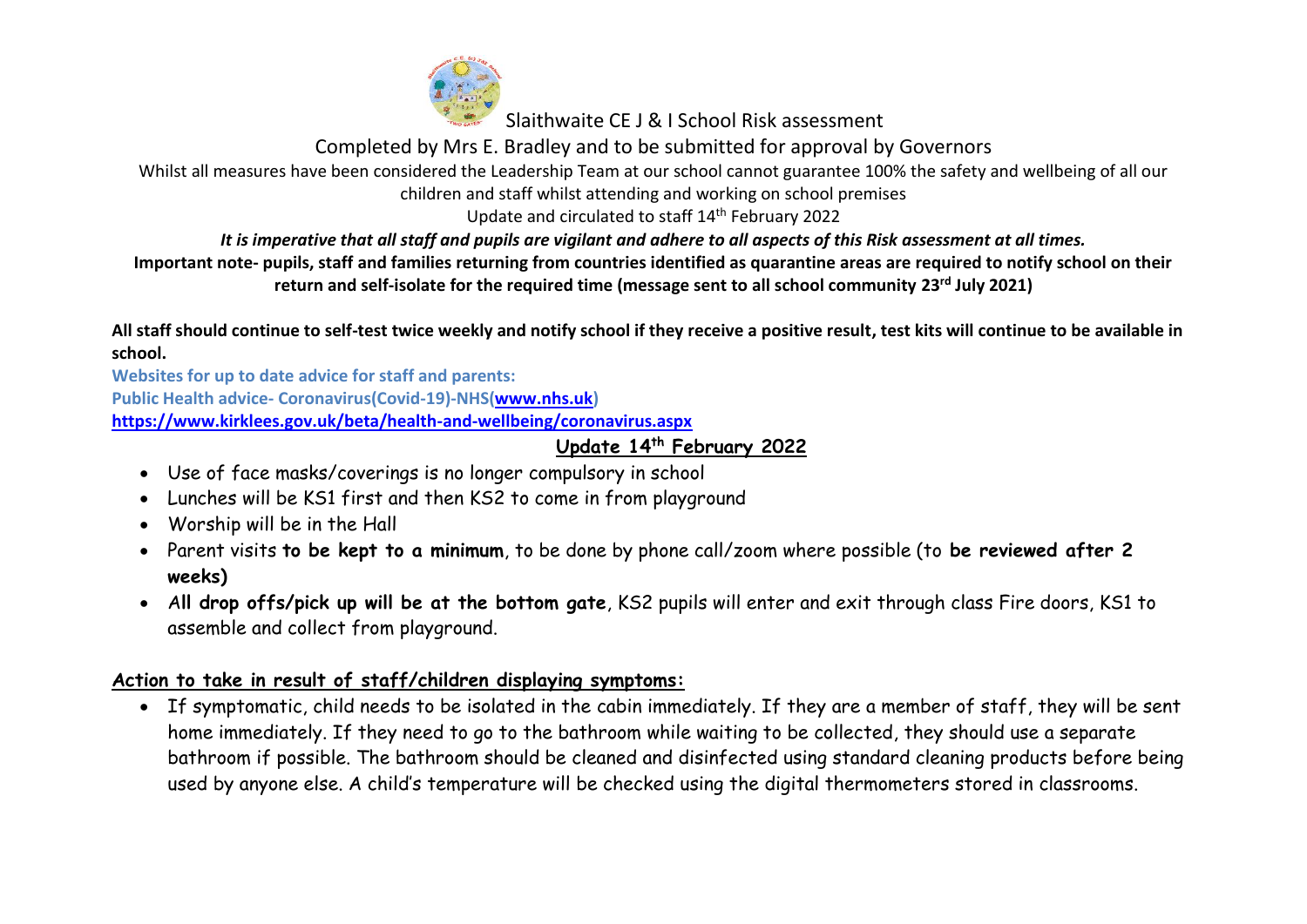

Completed by Mrs E. Bradley and to be submitted for approval by Governors

Whilst all measures have been considered the Leadership Team at our school cannot guarantee 100% the safety and wellbeing of all our

children and staff whilst attending and working on school premises

Update and circulated to staff 14<sup>th</sup> February 2022

*It is imperative that all staff and pupils are vigilant and adhere to all aspects of this Risk assessment at all times.*

#### **Important note- pupils, staff and families returning from countries identified as quarantine areas are required to notify school on their return and self-isolate for the required time (message sent to all school community 23rd July 2021)**

**All staff should continue to self-test twice weekly and notify school if they receive a positive result, test kits will continue to be available in school.**

**Websites for up to date advice for staff and parents: Public Health advice- Coronavirus(Covid-19)-NHS[\(www.nhs.uk\)](http://www.nhs.uk/) <https://www.kirklees.gov.uk/beta/health-and-wellbeing/coronavirus.aspx>**

# **Update 14 th February 2022**

- Use of face masks/coverings is no longer compulsory in school
- Lunches will be KS1 first and then KS2 to come in from playground
- Worship will be in the Hall
- Parent visits **to be kept to a minimum**, to be done by phone call/zoom where possible (to **be reviewed after 2 weeks)**
- A**ll drop offs/pick up will be at the bottom gate**, KS2 pupils will enter and exit through class Fire doors, KS1 to assemble and collect from playground.

# **Action to take in result of staff/children displaying symptoms:**

• If symptomatic, child needs to be isolated in the cabin immediately. If they are a member of staff, they will be sent home immediately. If they need to go to the bathroom while waiting to be collected, they should use a separate bathroom if possible. The bathroom should be cleaned and disinfected using standard cleaning products before being used by anyone else. A child's temperature will be checked using the digital thermometers stored in classrooms.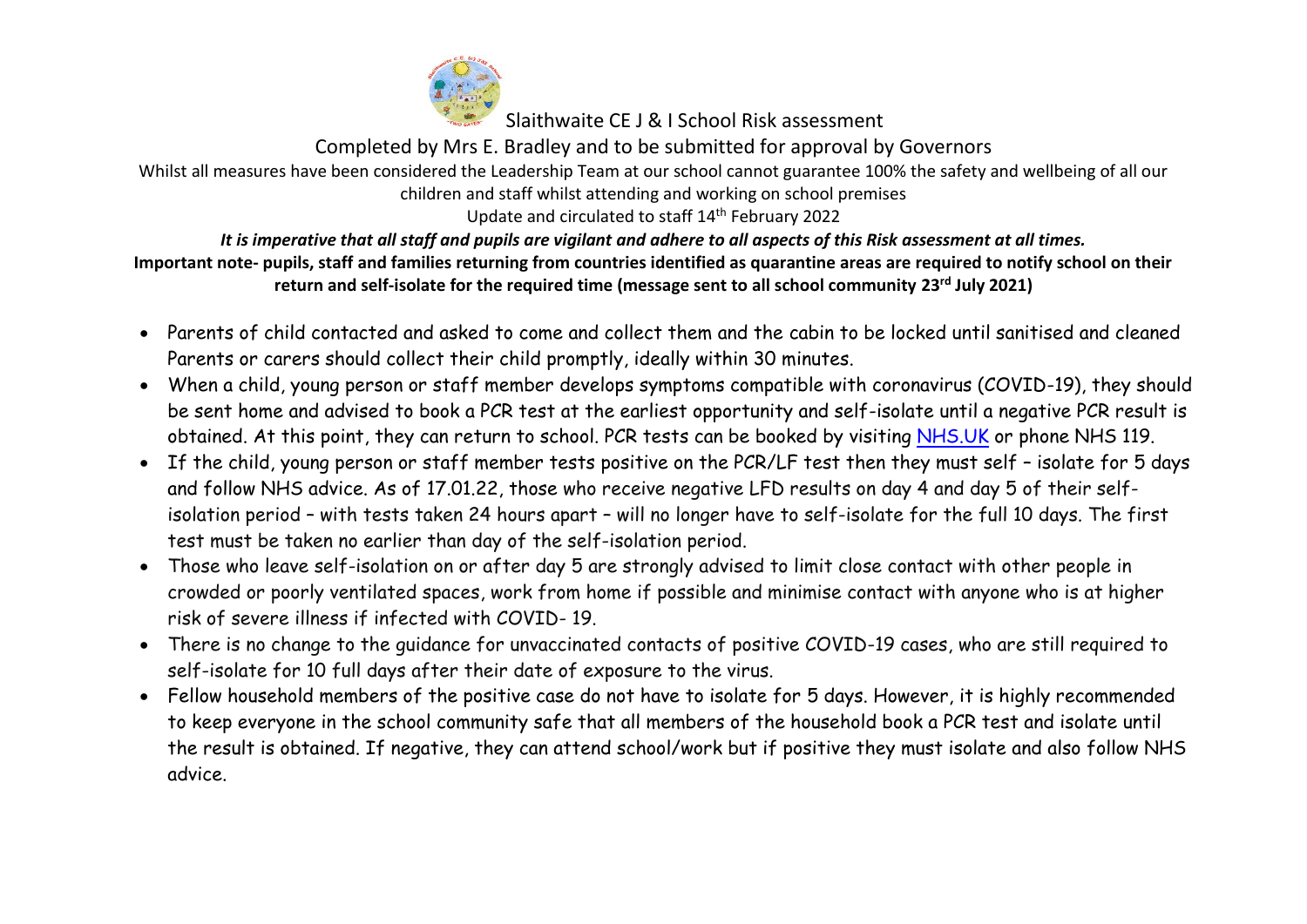

Completed by Mrs E. Bradley and to be submitted for approval by Governors

Whilst all measures have been considered the Leadership Team at our school cannot guarantee 100% the safety and wellbeing of all our children and staff whilst attending and working on school premises

Update and circulated to staff 14<sup>th</sup> February 2022

## *It is imperative that all staff and pupils are vigilant and adhere to all aspects of this Risk assessment at all times.*

- Parents of child contacted and asked to come and collect them and the cabin to be locked until sanitised and cleaned Parents or carers should collect their child promptly, ideally within 30 minutes.
- When a child, young person or staff member develops symptoms compatible with coronavirus (COVID-19), they should be sent home and advised to book a PCR test at the earliest opportunity and self-isolate until a negative PCR result is obtained. At this point, they can return to school. PCR tests can be booked by visiting [NHS.UK](https://www.nhs.uk/conditions/coronavirus-covid-19/testing-for-coronavirus/ask-for-a-test-to-check-if-you-have-coronavirus/) or phone NHS 119.
- If the child, young person or staff member tests positive on the PCR/LF test then they must self isolate for 5 days and follow NHS advice. As of 17.01.22, those who receive negative LFD results on day 4 and day 5 of their selfisolation period – with tests taken 24 hours apart – will no longer have to self-isolate for the full 10 days. The first test must be taken no earlier than day of the self-isolation period.
- Those who leave self-isolation on or after day 5 are strongly advised to limit close contact with other people in crowded or poorly ventilated spaces, work from home if possible and minimise contact with anyone who is at higher risk of severe illness if infected with COVID- 19.
- There is no change to the guidance for unvaccinated contacts of positive COVID-19 cases, who are still required to self-isolate for 10 full days after their date of exposure to the virus.
- Fellow household members of the positive case do not have to isolate for 5 days. However, it is highly recommended to keep everyone in the school community safe that all members of the household book a PCR test and isolate until the result is obtained. If negative, they can attend school/work but if positive they must isolate and also follow NHS advice.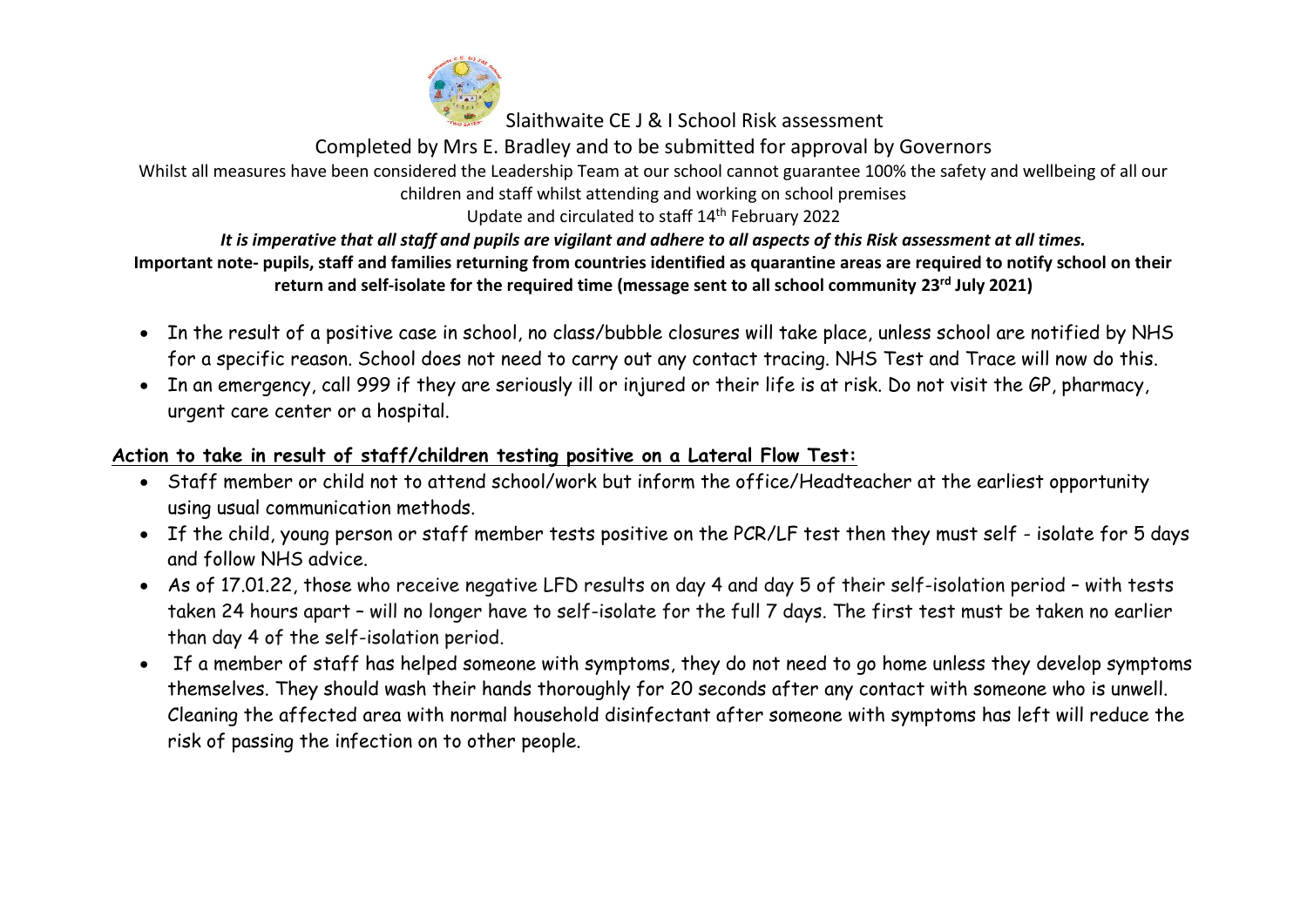

Completed by Mrs E. Bradley and to be submitted for approval by Governors

#### Whilst all measures have been considered the Leadership Team at our school cannot guarantee 100% the safety and wellbeing of all our children and staff whilst attending and working on school premises

Update and circulated to staff 14<sup>th</sup> February 2022

# *It is imperative that all staff and pupils are vigilant and adhere to all aspects of this Risk assessment at all times.*

#### **Important note- pupils, staff and families returning from countries identified as quarantine areas are required to notify school on their return and self-isolate for the required time (message sent to all school community 23rd July 2021)**

- In the result of a positive case in school, no class/bubble closures will take place, unless school are notified by NHS for a specific reason. School does not need to carry out any contact tracing. NHS Test and Trace will now do this.
- In an emergency, call 999 if they are seriously ill or injured or their life is at risk. Do not visit the GP, pharmacy, urgent care center or a hospital.

# **Action to take in result of staff/children testing positive on a Lateral Flow Test:**

- Staff member or child not to attend school/work but inform the office/Headteacher at the earliest opportunity using usual communication methods.
- If the child, young person or staff member tests positive on the PCR/LF test then they must self isolate for 5 days and follow NHS advice.
- As of 17.01.22, those who receive negative LFD results on day 4 and day 5 of their self-isolation period with tests taken 24 hours apart – will no longer have to self-isolate for the full 7 days. The first test must be taken no earlier than day 4 of the self-isolation period.
- If a member of staff has helped someone with symptoms, they do not need to go home unless they develop symptoms themselves. They should wash their hands thoroughly for 20 seconds after any contact with someone who is unwell. Cleaning the affected area with normal household disinfectant after someone with symptoms has left will reduce the risk of passing the infection on to other people.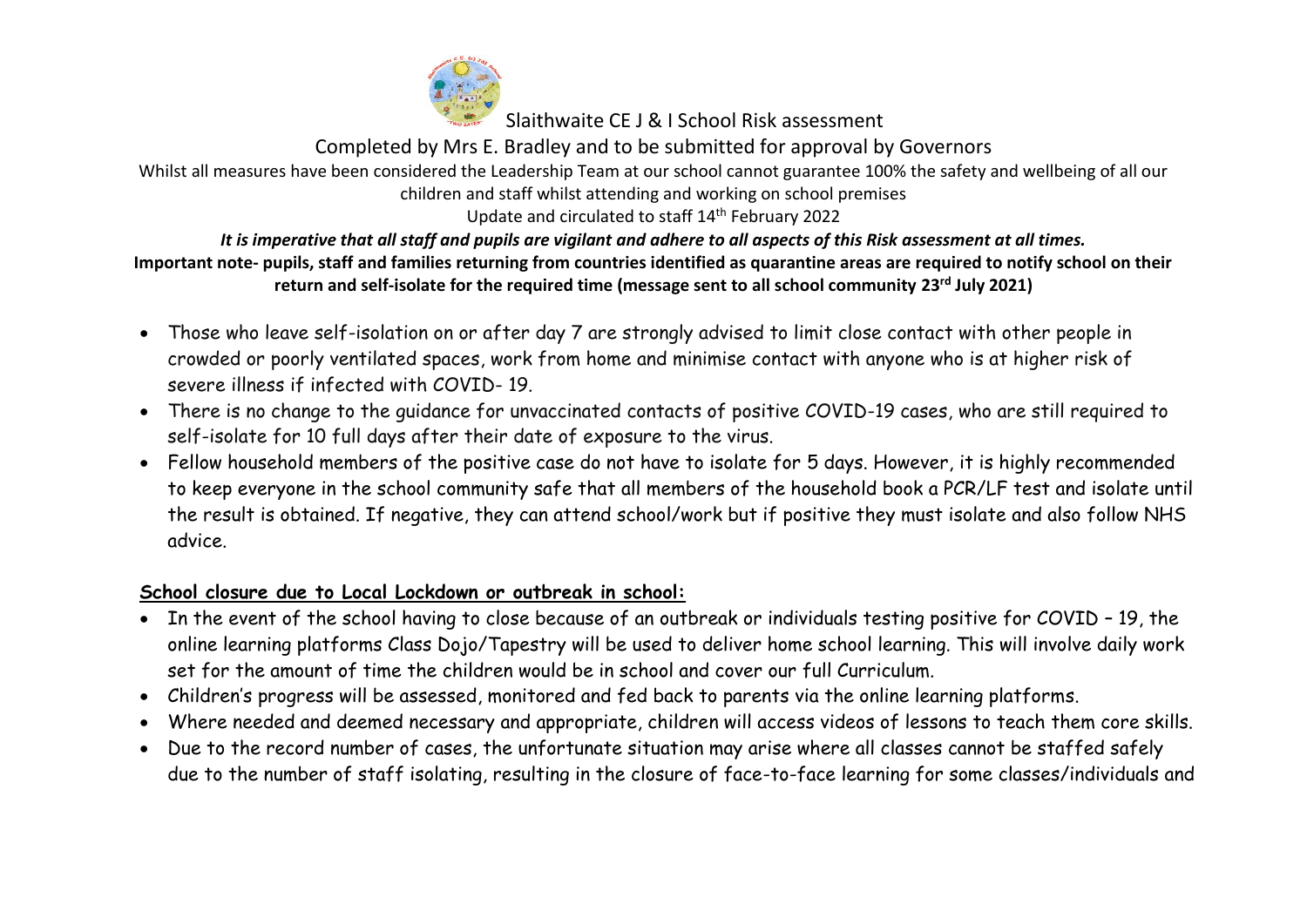

Completed by Mrs E. Bradley and to be submitted for approval by Governors

Whilst all measures have been considered the Leadership Team at our school cannot guarantee 100% the safety and wellbeing of all our children and staff whilst attending and working on school premises

Update and circulated to staff 14<sup>th</sup> February 2022

# *It is imperative that all staff and pupils are vigilant and adhere to all aspects of this Risk assessment at all times.*

#### **Important note- pupils, staff and families returning from countries identified as quarantine areas are required to notify school on their return and self-isolate for the required time (message sent to all school community 23rd July 2021)**

- Those who leave self-isolation on or after day 7 are strongly advised to limit close contact with other people in crowded or poorly ventilated spaces, work from home and minimise contact with anyone who is at higher risk of severe illness if infected with COVID- 19.
- There is no change to the guidance for unvaccinated contacts of positive COVID-19 cases, who are still required to self-isolate for 10 full days after their date of exposure to the virus.
- Fellow household members of the positive case do not have to isolate for 5 days. However, it is highly recommended to keep everyone in the school community safe that all members of the household book a PCR/LF test and isolate until the result is obtained. If negative, they can attend school/work but if positive they must isolate and also follow NHS advice.

# **School closure due to Local Lockdown or outbreak in school:**

- In the event of the school having to close because of an outbreak or individuals testing positive for COVID 19, the online learning platforms Class Dojo/Tapestry will be used to deliver home school learning. This will involve daily work set for the amount of time the children would be in school and cover our full Curriculum.
- Children's progress will be assessed, monitored and fed back to parents via the online learning platforms.
- Where needed and deemed necessary and appropriate, children will access videos of lessons to teach them core skills.
- Due to the record number of cases, the unfortunate situation may arise where all classes cannot be staffed safely due to the number of staff isolating, resulting in the closure of face-to-face learning for some classes/individuals and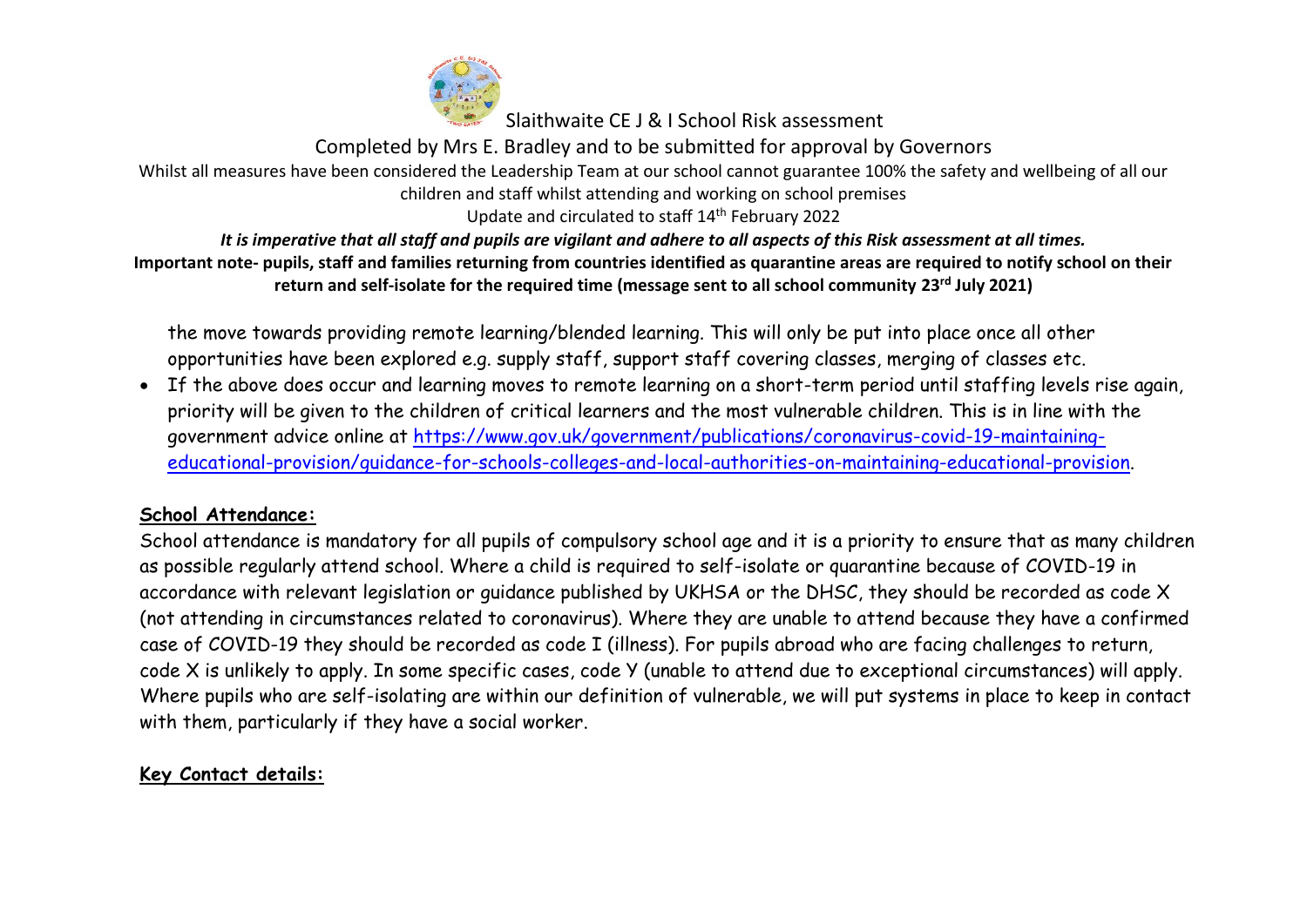

Completed by Mrs E. Bradley and to be submitted for approval by Governors Whilst all measures have been considered the Leadership Team at our school cannot guarantee 100% the safety and wellbeing of all our children and staff whilst attending and working on school premises

Update and circulated to staff 14<sup>th</sup> February 2022

*It is imperative that all staff and pupils are vigilant and adhere to all aspects of this Risk assessment at all times.* **Important note- pupils, staff and families returning from countries identified as quarantine areas are required to notify school on their return and self-isolate for the required time (message sent to all school community 23rd July 2021)**

the move towards providing remote learning/blended learning. This will only be put into place once all other opportunities have been explored e.g. supply staff, support staff covering classes, merging of classes etc.

• If the above does occur and learning moves to remote learning on a short-term period until staffing levels rise again, priority will be given to the children of critical learners and the most vulnerable children. This is in line with the government advice online at [https://www.gov.uk/government/publications/coronavirus-covid-19-maintaining](https://www.gov.uk/government/publications/coronavirus-covid-19-maintaining-educational-provision/guidance-for-schools-colleges-and-local-authorities-on-maintaining-educational-provision)[educational-provision/guidance-for-schools-colleges-and-local-authorities-on-maintaining-educational-provision.](https://www.gov.uk/government/publications/coronavirus-covid-19-maintaining-educational-provision/guidance-for-schools-colleges-and-local-authorities-on-maintaining-educational-provision)

## **School Attendance:**

School attendance is mandatory for all pupils of compulsory school age and it is a priority to ensure that as many children as possible regularly attend school. Where a child is required to self-isolate or quarantine because of COVID-19 in accordance with relevant legislation or guidance published by UKHSA or the DHSC, they should be recorded as code X (not attending in circumstances related to coronavirus). Where they are unable to attend because they have a confirmed case of COVID-19 they should be recorded as code I (illness). For pupils abroad who are facing challenges to return, code X is unlikely to apply. In some specific cases, code Y (unable to attend due to exceptional circumstances) will apply. Where pupils who are self-isolating are within our definition of vulnerable, we will put systems in place to keep in contact with them, particularly if they have a social worker.

# **Key Contact details:**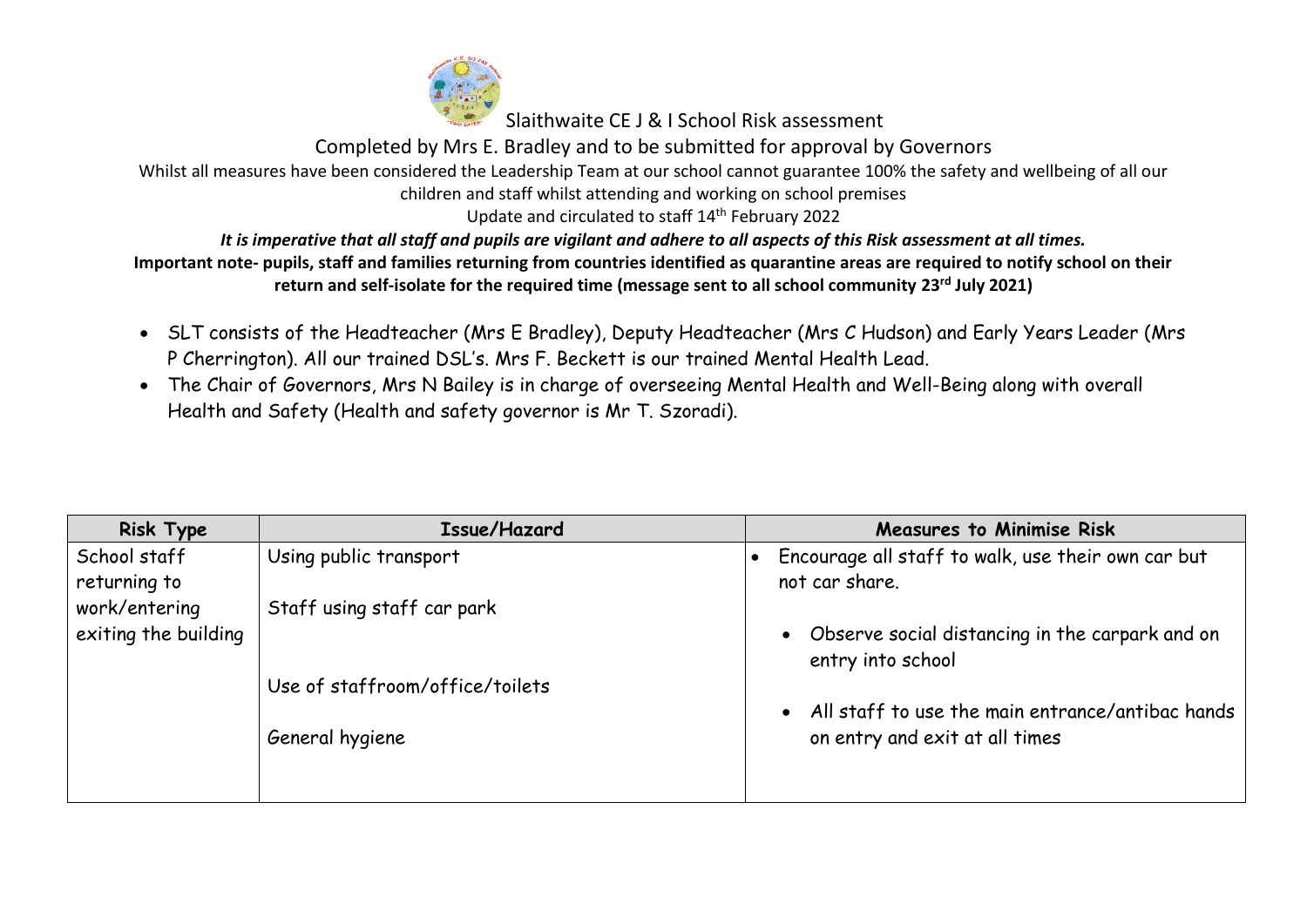

Completed by Mrs E. Bradley and to be submitted for approval by Governors

Whilst all measures have been considered the Leadership Team at our school cannot guarantee 100% the safety and wellbeing of all our children and staff whilst attending and working on school premises

Update and circulated to staff 14<sup>th</sup> February 2022

*It is imperative that all staff and pupils are vigilant and adhere to all aspects of this Risk assessment at all times.*

- SLT consists of the Headteacher (Mrs E Bradley), Deputy Headteacher (Mrs C Hudson) and Early Years Leader (Mrs P Cherrington). All our trained DSL's. Mrs F. Beckett is our trained Mental Health Lead.
- The Chair of Governors, Mrs N Bailey is in charge of overseeing Mental Health and Well-Being along with overall Health and Safety (Health and safety governor is Mr T. Szoradi).

| <b>Risk Type</b>     | Issue/Hazard                    | <b>Measures to Minimise Risk</b>                                |
|----------------------|---------------------------------|-----------------------------------------------------------------|
| School staff         | Using public transport          | Encourage all staff to walk, use their own car but<br>$\bullet$ |
| returning to         |                                 | not car share.                                                  |
| work/entering        | Staff using staff car park      |                                                                 |
| exiting the building |                                 | • Observe social distancing in the carpark and on               |
|                      |                                 | entry into school                                               |
|                      | Use of staffroom/office/toilets |                                                                 |
|                      |                                 | • All staff to use the main entrance/antibac hands              |
|                      | General hygiene                 | on entry and exit at all times                                  |
|                      |                                 |                                                                 |
|                      |                                 |                                                                 |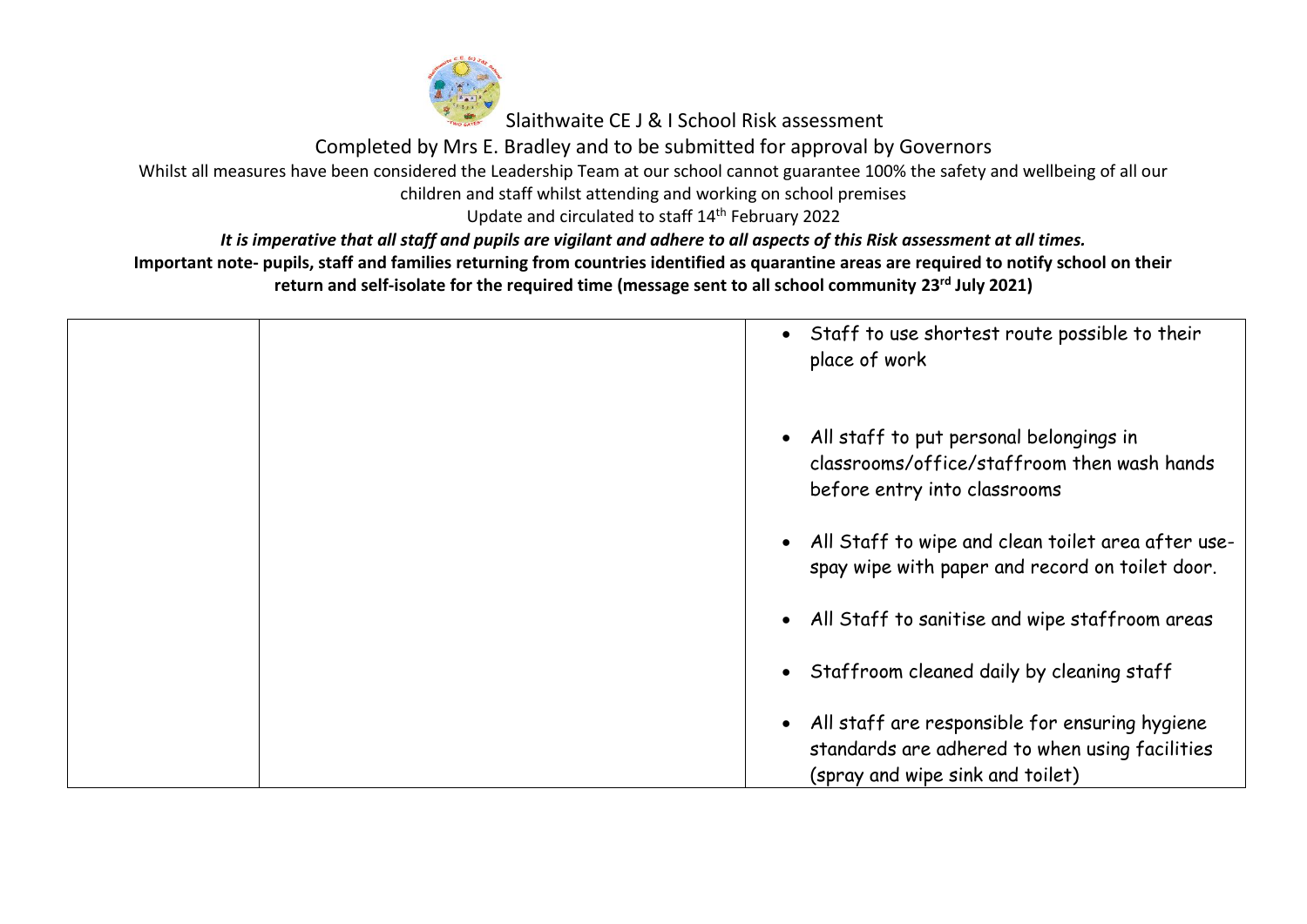

Completed by Mrs E. Bradley and to be submitted for approval by Governors

Whilst all measures have been considered the Leadership Team at our school cannot guarantee 100% the safety and wellbeing of all our

children and staff whilst attending and working on school premises

Update and circulated to staff 14<sup>th</sup> February 2022

*It is imperative that all staff and pupils are vigilant and adhere to all aspects of this Risk assessment at all times.*

|  | • Staff to use shortest route possible to their<br>place of work                                                                                  |
|--|---------------------------------------------------------------------------------------------------------------------------------------------------|
|  | All staff to put personal belongings in<br>$\bullet$<br>classrooms/office/staffroom then wash hands<br>before entry into classrooms               |
|  | All Staff to wipe and clean toilet area after use-<br>$\bullet$<br>spay wipe with paper and record on toilet door.                                |
|  | All Staff to sanitise and wipe staffroom areas<br>$\bullet$                                                                                       |
|  | Staffroom cleaned daily by cleaning staff<br>$\bullet$                                                                                            |
|  | All staff are responsible for ensuring hygiene<br>$\bullet$<br>standards are adhered to when using facilities<br>(spray and wipe sink and toilet) |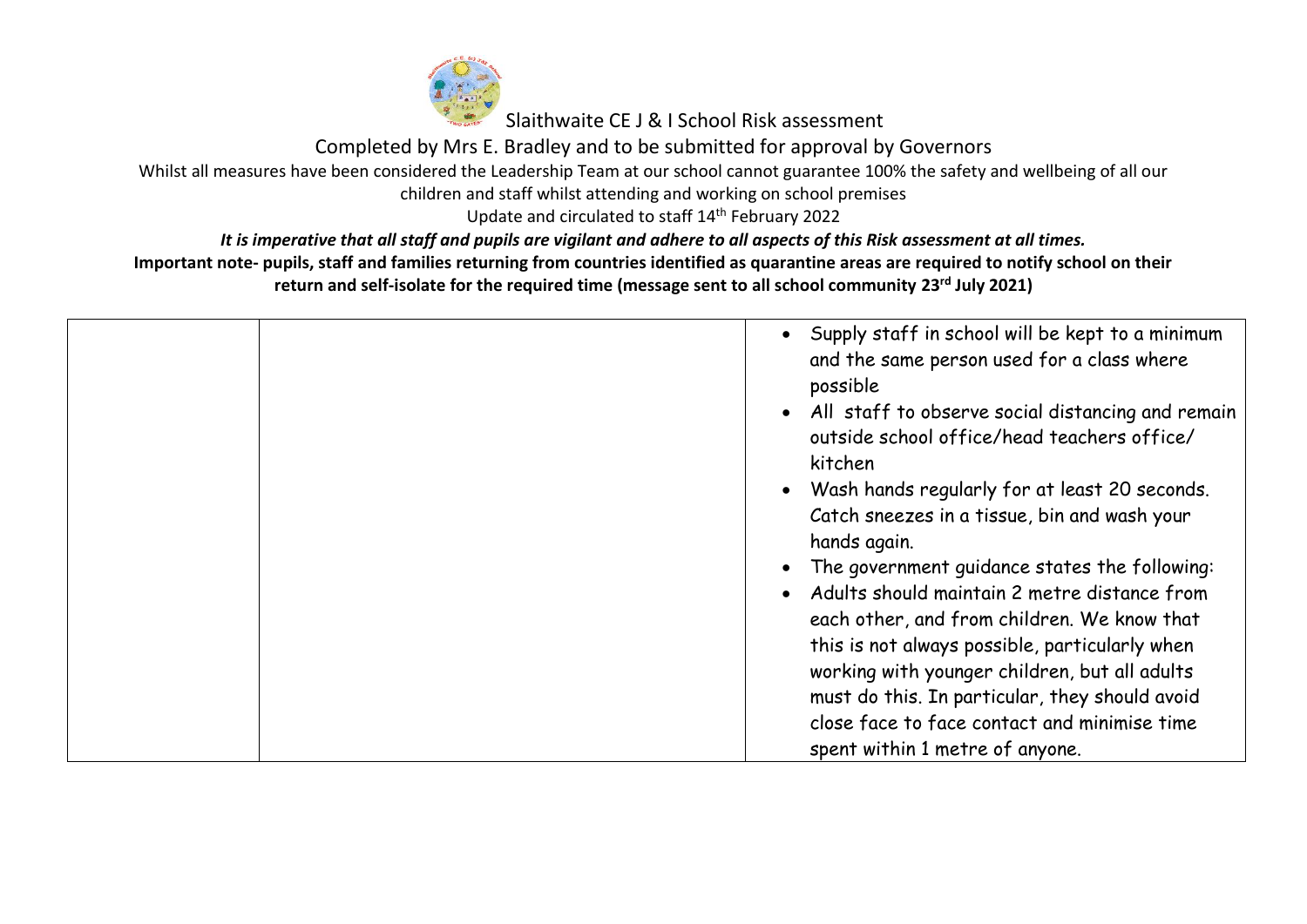

Completed by Mrs E. Bradley and to be submitted for approval by Governors

Whilst all measures have been considered the Leadership Team at our school cannot guarantee 100% the safety and wellbeing of all our

children and staff whilst attending and working on school premises

Update and circulated to staff 14<sup>th</sup> February 2022

*It is imperative that all staff and pupils are vigilant and adhere to all aspects of this Risk assessment at all times.*

| • Supply staff in school will be kept to a minimum<br>and the same person used for a class where<br>possible<br>• All staff to observe social distancing and remain<br>outside school office/head teachers office/<br>kitchen<br>• Wash hands regularly for at least 20 seconds.<br>Catch sneezes in a tissue, bin and wash your<br>hands again.<br>The government guidance states the following:<br>Adults should maintain 2 metre distance from<br>$\bullet$<br>each other, and from children. We know that<br>this is not always possible, particularly when<br>working with younger children, but all adults<br>must do this. In particular, they should avoid |  |
|--------------------------------------------------------------------------------------------------------------------------------------------------------------------------------------------------------------------------------------------------------------------------------------------------------------------------------------------------------------------------------------------------------------------------------------------------------------------------------------------------------------------------------------------------------------------------------------------------------------------------------------------------------------------|--|
| close face to face contact and minimise time<br>spent within 1 metre of anyone.                                                                                                                                                                                                                                                                                                                                                                                                                                                                                                                                                                                    |  |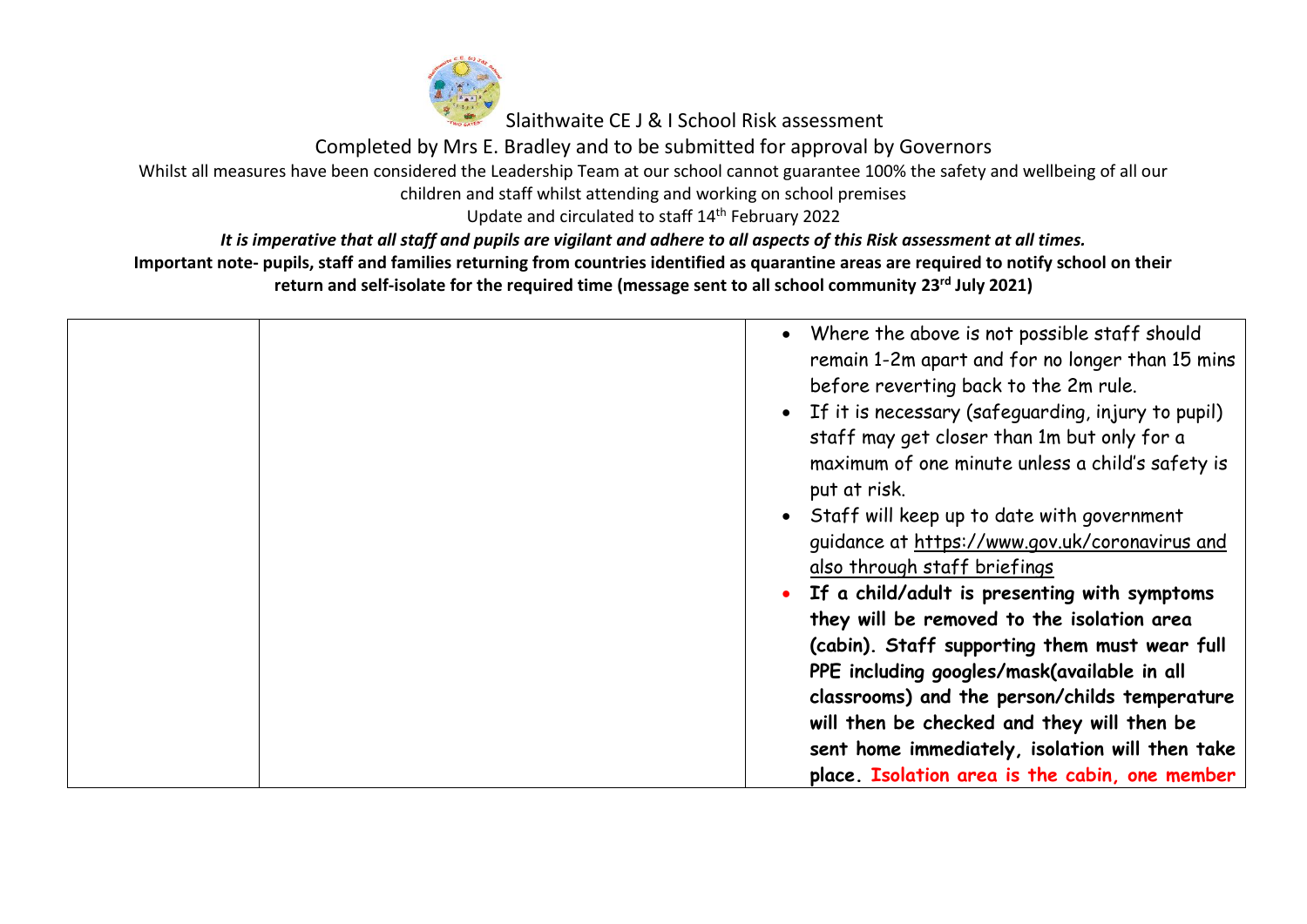

Completed by Mrs E. Bradley and to be submitted for approval by Governors

Whilst all measures have been considered the Leadership Team at our school cannot guarantee 100% the safety and wellbeing of all our

children and staff whilst attending and working on school premises

Update and circulated to staff 14<sup>th</sup> February 2022

*It is imperative that all staff and pupils are vigilant and adhere to all aspects of this Risk assessment at all times.*

| • Where the above is not possible staff should<br>remain 1-2m apart and for no longer than 15 mins<br>before reverting back to the 2m rule.<br>• If it is necessary (safeguarding, injury to pupil)<br>staff may get closer than 1m but only for a<br>maximum of one minute unless a child's safety is                                         |
|------------------------------------------------------------------------------------------------------------------------------------------------------------------------------------------------------------------------------------------------------------------------------------------------------------------------------------------------|
| put at risk.<br>• Staff will keep up to date with government<br>guidance at https://www.gov.uk/coronavirus and<br>also through staff briefings<br>• If a child/adult is presenting with symptoms                                                                                                                                               |
| they will be removed to the isolation area<br>(cabin). Staff supporting them must wear full<br>PPE including googles/mask(available in all<br>classrooms) and the person/childs temperature<br>will then be checked and they will then be<br>sent home immediately, isolation will then take<br>place. Isolation area is the cabin, one member |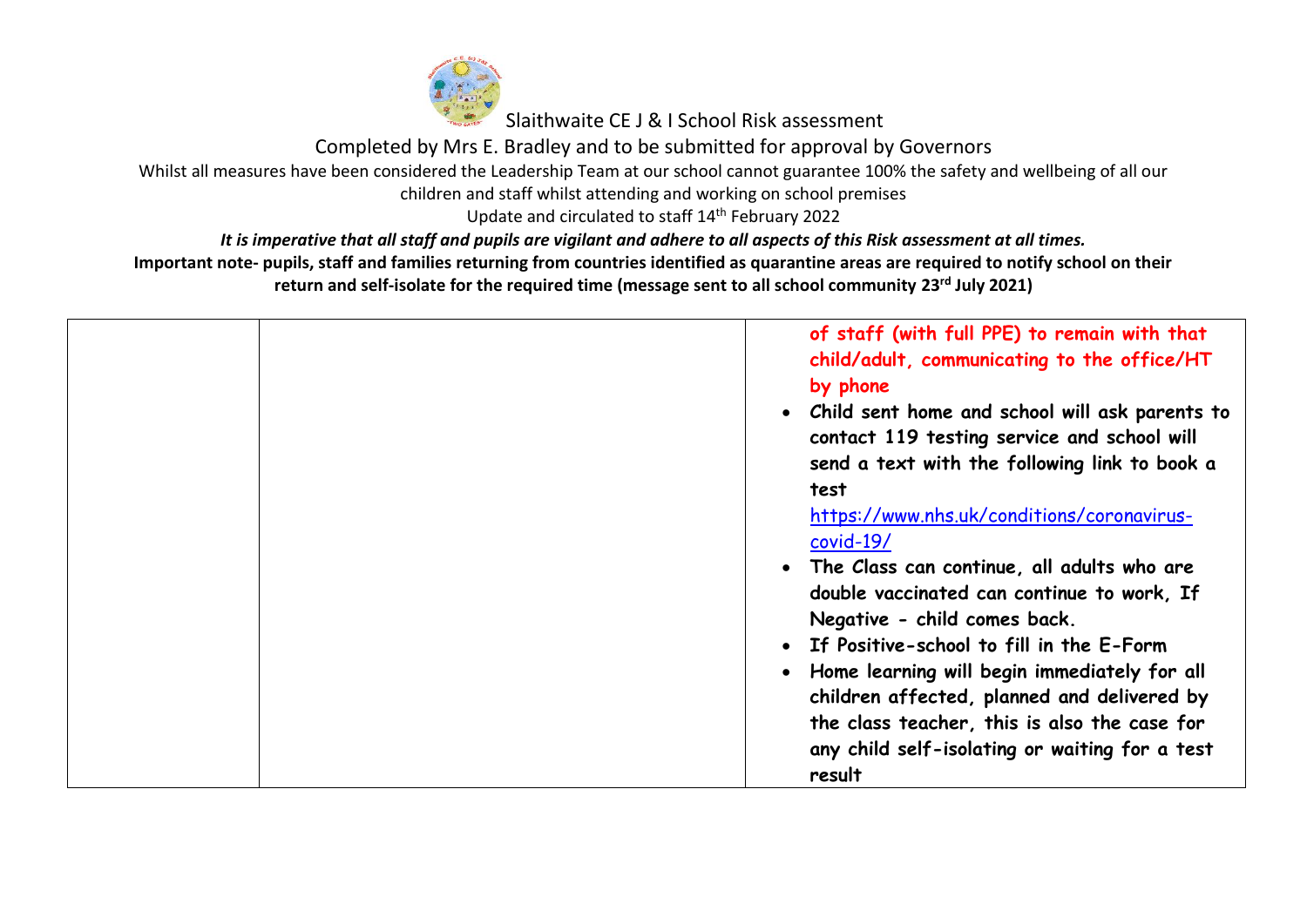

Completed by Mrs E. Bradley and to be submitted for approval by Governors

Whilst all measures have been considered the Leadership Team at our school cannot guarantee 100% the safety and wellbeing of all our

children and staff whilst attending and working on school premises

Update and circulated to staff 14<sup>th</sup> February 2022

*It is imperative that all staff and pupils are vigilant and adhere to all aspects of this Risk assessment at all times.*

| of staff (with full PPE) to remain with that<br>child/adult, communicating to the office/HT<br>by phone<br>• Child sent home and school will ask parents to<br>contact 119 testing service and school will<br>send a text with the following link to book a |
|-------------------------------------------------------------------------------------------------------------------------------------------------------------------------------------------------------------------------------------------------------------|
| test                                                                                                                                                                                                                                                        |
| https://www.nhs.uk/conditions/coronavirus-<br>$covid-19/$<br>The Class can continue, all adults who are                                                                                                                                                     |
| double vaccinated can continue to work, If<br>Negative - child comes back.                                                                                                                                                                                  |
| If Positive-school to fill in the E-Form                                                                                                                                                                                                                    |
| Home learning will begin immediately for all<br>$\bullet$<br>children affected, planned and delivered by<br>the class teacher, this is also the case for<br>any child self-isolating or waiting for a test<br>result                                        |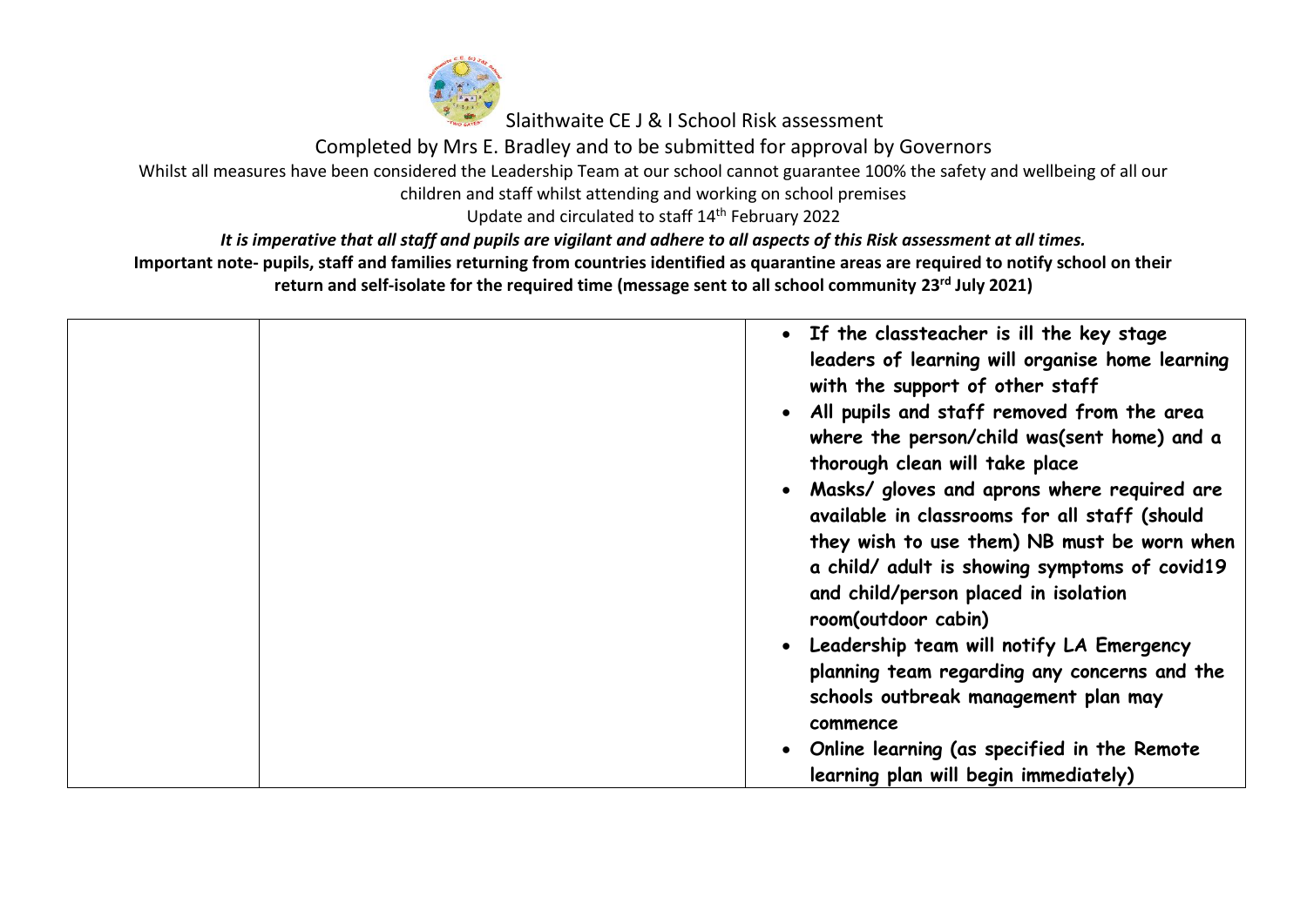

Completed by Mrs E. Bradley and to be submitted for approval by Governors

Whilst all measures have been considered the Leadership Team at our school cannot guarantee 100% the safety and wellbeing of all our

children and staff whilst attending and working on school premises

Update and circulated to staff 14<sup>th</sup> February 2022

*It is imperative that all staff and pupils are vigilant and adhere to all aspects of this Risk assessment at all times.*

| • If the classteacher is ill the key stage<br>leaders of learning will organise home learning<br>with the support of other staff<br>• All pupils and staff removed from the area<br>where the person/child was(sent home) and a<br>thorough clean will take place<br>• Masks/ gloves and aprons where required are<br>available in classrooms for all staff (should<br>they wish to use them) NB must be worn when<br>a child/ adult is showing symptoms of covid19<br>and child/person placed in isolation<br>room(outdoor cabin)<br>• Leadership team will notify LA Emergency<br>planning team regarding any concerns and the<br>schools outbreak management plan may<br>commence |
|--------------------------------------------------------------------------------------------------------------------------------------------------------------------------------------------------------------------------------------------------------------------------------------------------------------------------------------------------------------------------------------------------------------------------------------------------------------------------------------------------------------------------------------------------------------------------------------------------------------------------------------------------------------------------------------|
| • Online learning (as specified in the Remote<br>learning plan will begin immediately)                                                                                                                                                                                                                                                                                                                                                                                                                                                                                                                                                                                               |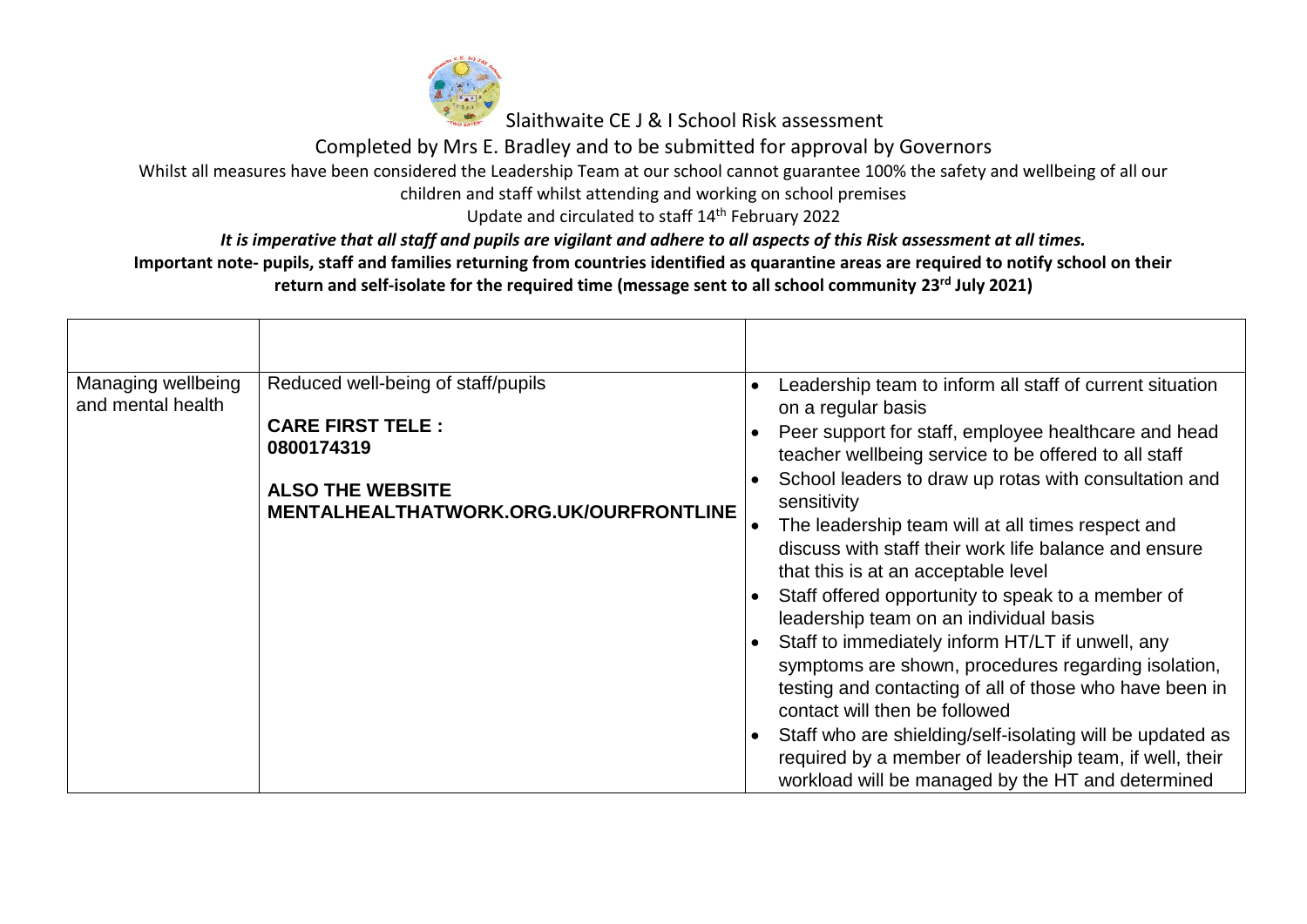

Completed by Mrs E. Bradley and to be submitted for approval by Governors

Whilst all measures have been considered the Leadership Team at our school cannot guarantee 100% the safety and wellbeing of all our

children and staff whilst attending and working on school premises

Update and circulated to staff 14<sup>th</sup> February 2022

*It is imperative that all staff and pupils are vigilant and adhere to all aspects of this Risk assessment at all times.*

| Managing wellbeing<br>and mental health | Reduced well-being of staff/pupils                                | $\bullet$ | Leadership team to inform all staff of current situation<br>on a regular basis                                                                                                                      |
|-----------------------------------------|-------------------------------------------------------------------|-----------|-----------------------------------------------------------------------------------------------------------------------------------------------------------------------------------------------------|
|                                         | <b>CARE FIRST TELE:</b><br>0800174319                             | $\bullet$ | Peer support for staff, employee healthcare and head<br>teacher wellbeing service to be offered to all staff                                                                                        |
|                                         | <b>ALSO THE WEBSITE</b><br>MENTALHEALTHATWORK.ORG.UK/OURFRONTLINE |           | School leaders to draw up rotas with consultation and<br>sensitivity                                                                                                                                |
|                                         |                                                                   |           | The leadership team will at all times respect and<br>discuss with staff their work life balance and ensure<br>that this is at an acceptable level                                                   |
|                                         |                                                                   | $\bullet$ | Staff offered opportunity to speak to a member of<br>leadership team on an individual basis                                                                                                         |
|                                         |                                                                   |           | Staff to immediately inform HT/LT if unwell, any<br>symptoms are shown, procedures regarding isolation,<br>testing and contacting of all of those who have been in<br>contact will then be followed |
|                                         |                                                                   | $\bullet$ | Staff who are shielding/self-isolating will be updated as<br>required by a member of leadership team, if well, their<br>workload will be managed by the HT and determined                           |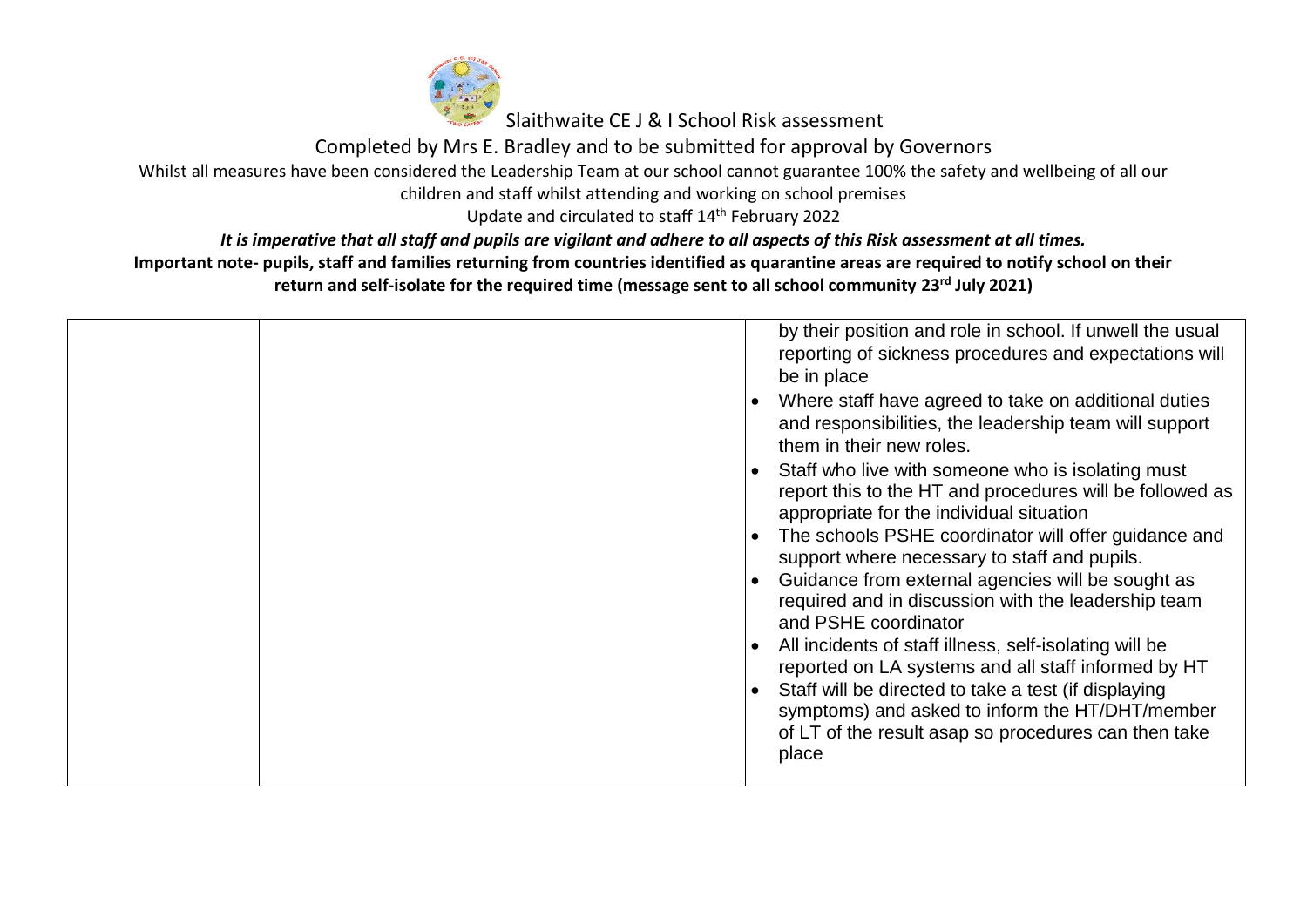

Completed by Mrs E. Bradley and to be submitted for approval by Governors

Whilst all measures have been considered the Leadership Team at our school cannot guarantee 100% the safety and wellbeing of all our

children and staff whilst attending and working on school premises

Update and circulated to staff 14<sup>th</sup> February 2022

*It is imperative that all staff and pupils are vigilant and adhere to all aspects of this Risk assessment at all times.*

| by their position and role in school. If unwell the usual<br>reporting of sickness procedures and expectations will<br>be in place<br>Where staff have agreed to take on additional duties<br>and responsibilities, the leadership team will support<br>them in their new roles.                                                                                                                                                                                                                                                                                                                                                                                                                                |
|-----------------------------------------------------------------------------------------------------------------------------------------------------------------------------------------------------------------------------------------------------------------------------------------------------------------------------------------------------------------------------------------------------------------------------------------------------------------------------------------------------------------------------------------------------------------------------------------------------------------------------------------------------------------------------------------------------------------|
| Staff who live with someone who is isolating must<br>report this to the HT and procedures will be followed as<br>appropriate for the individual situation<br>The schools PSHE coordinator will offer guidance and<br>$\bullet$<br>support where necessary to staff and pupils.<br>Guidance from external agencies will be sought as<br>required and in discussion with the leadership team<br>and PSHE coordinator<br>All incidents of staff illness, self-isolating will be<br>reported on LA systems and all staff informed by HT<br>Staff will be directed to take a test (if displaying<br>symptoms) and asked to inform the HT/DHT/member<br>of LT of the result asap so procedures can then take<br>place |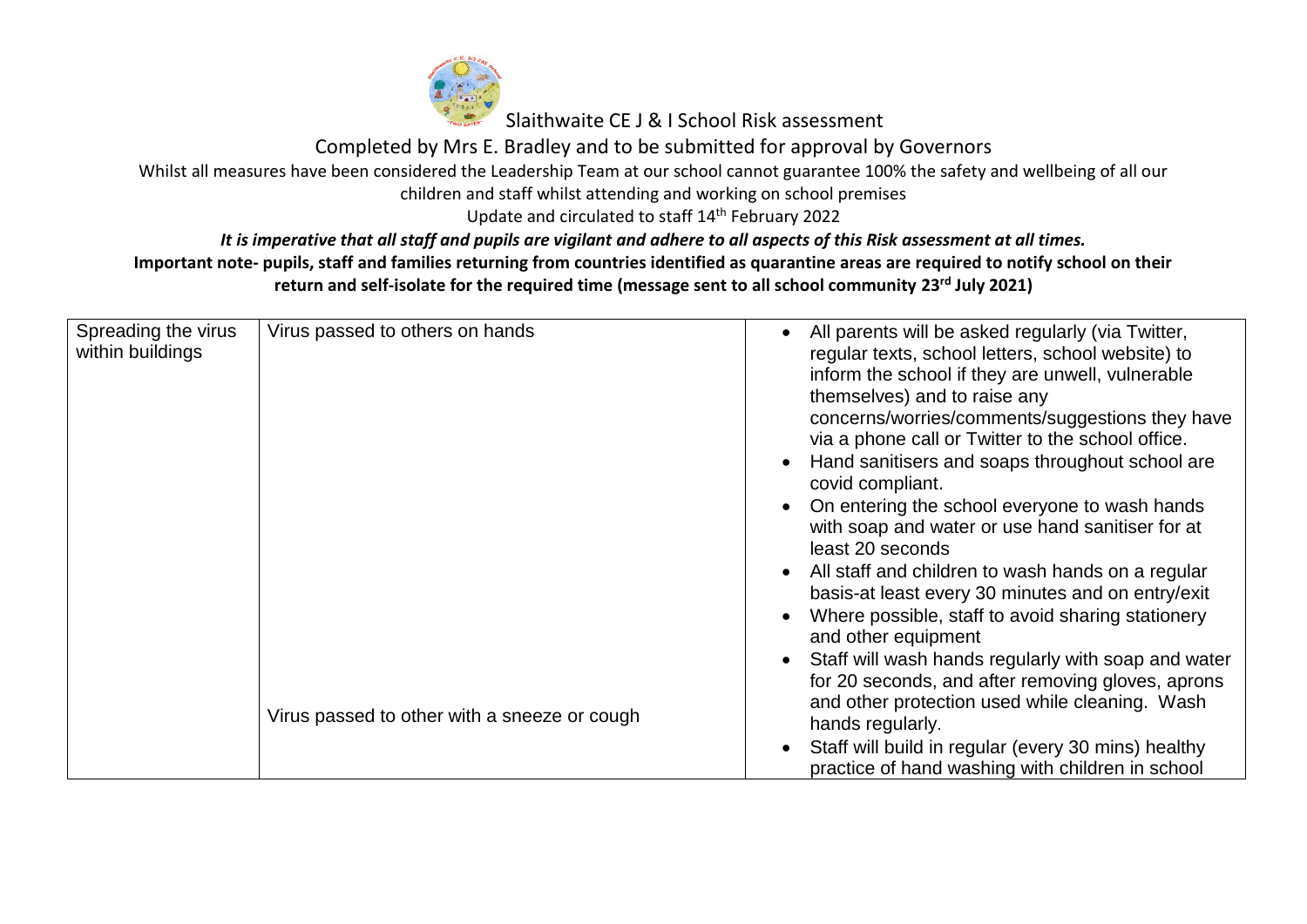

Completed by Mrs E. Bradley and to be submitted for approval by Governors

## Whilst all measures have been considered the Leadership Team at our school cannot guarantee 100% the safety and wellbeing of all our

children and staff whilst attending and working on school premises

Update and circulated to staff 14<sup>th</sup> February 2022

*It is imperative that all staff and pupils are vigilant and adhere to all aspects of this Risk assessment at all times.*

| Spreading the virus<br>within buildings | Virus passed to others on hands              | All parents will be asked regularly (via Twitter,<br>regular texts, school letters, school website) to<br>inform the school if they are unwell, vulnerable<br>themselves) and to raise any<br>concerns/worries/comments/suggestions they have<br>via a phone call or Twitter to the school office.<br>Hand sanitisers and soaps throughout school are<br>covid compliant.<br>On entering the school everyone to wash hands<br>with soap and water or use hand sanitiser for at<br>least 20 seconds<br>All staff and children to wash hands on a regular<br>basis-at least every 30 minutes and on entry/exit<br>Where possible, staff to avoid sharing stationery<br>and other equipment<br>Staff will wash hands regularly with soap and water<br>for 20 seconds, and after removing gloves, aprons<br>and other protection used while cleaning. Wash |
|-----------------------------------------|----------------------------------------------|--------------------------------------------------------------------------------------------------------------------------------------------------------------------------------------------------------------------------------------------------------------------------------------------------------------------------------------------------------------------------------------------------------------------------------------------------------------------------------------------------------------------------------------------------------------------------------------------------------------------------------------------------------------------------------------------------------------------------------------------------------------------------------------------------------------------------------------------------------|
|                                         | Virus passed to other with a sneeze or cough | hands regularly.<br>Staff will build in regular (every 30 mins) healthy<br>practice of hand washing with children in school                                                                                                                                                                                                                                                                                                                                                                                                                                                                                                                                                                                                                                                                                                                            |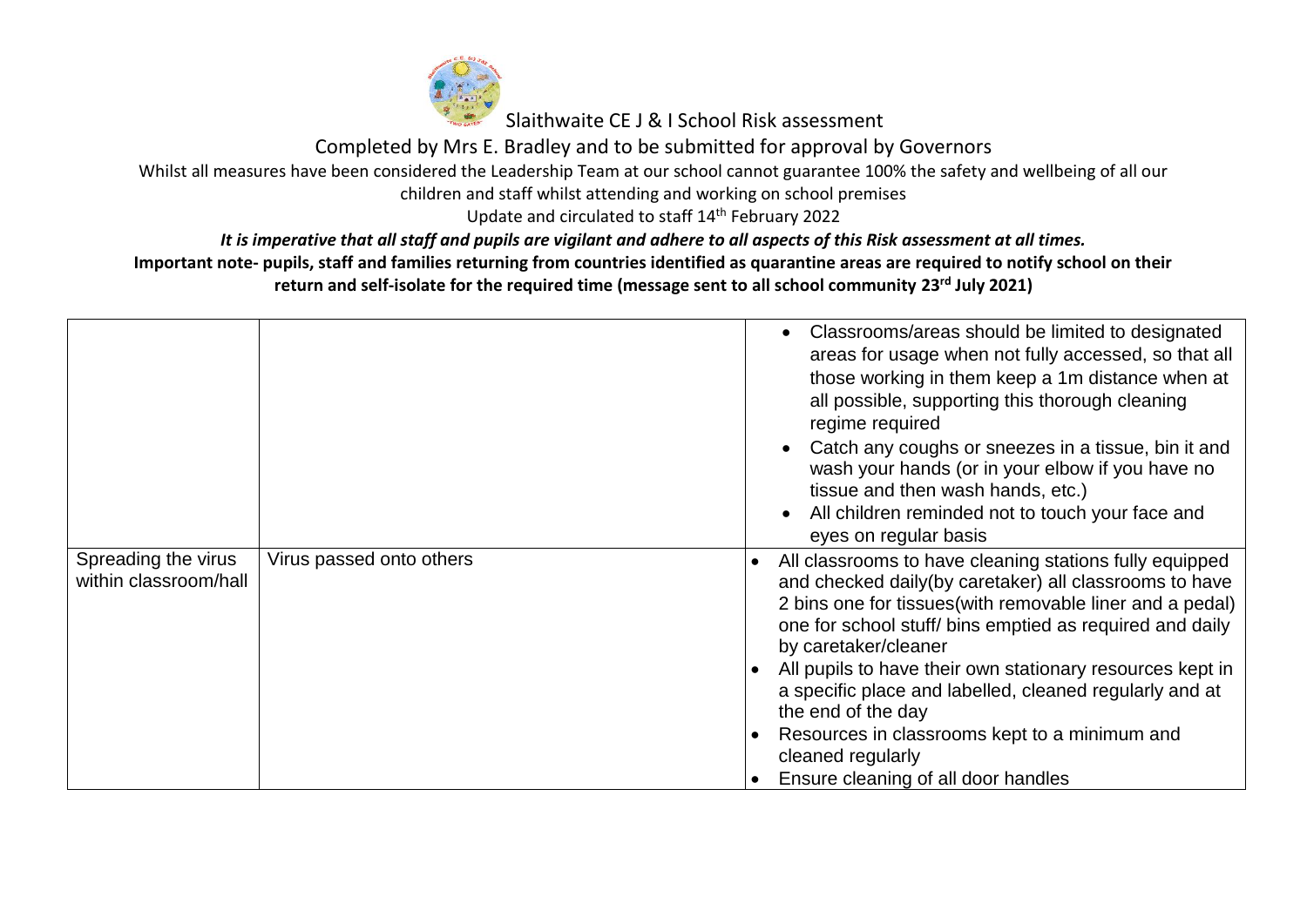

Completed by Mrs E. Bradley and to be submitted for approval by Governors

Whilst all measures have been considered the Leadership Team at our school cannot guarantee 100% the safety and wellbeing of all our

children and staff whilst attending and working on school premises

Update and circulated to staff 14<sup>th</sup> February 2022

*It is imperative that all staff and pupils are vigilant and adhere to all aspects of this Risk assessment at all times.*

|                                              |                          | Classrooms/areas should be limited to designated<br>areas for usage when not fully accessed, so that all<br>those working in them keep a 1m distance when at<br>all possible, supporting this thorough cleaning<br>regime required<br>Catch any coughs or sneezes in a tissue, bin it and<br>wash your hands (or in your elbow if you have no<br>tissue and then wash hands, etc.)<br>All children reminded not to touch your face and<br>eyes on regular basis                                                                            |
|----------------------------------------------|--------------------------|--------------------------------------------------------------------------------------------------------------------------------------------------------------------------------------------------------------------------------------------------------------------------------------------------------------------------------------------------------------------------------------------------------------------------------------------------------------------------------------------------------------------------------------------|
| Spreading the virus<br>within classroom/hall | Virus passed onto others | All classrooms to have cleaning stations fully equipped<br>$\bullet$<br>and checked daily(by caretaker) all classrooms to have<br>2 bins one for tissues (with removable liner and a pedal)<br>one for school stuff/ bins emptied as required and daily<br>by caretaker/cleaner<br>All pupils to have their own stationary resources kept in<br>a specific place and labelled, cleaned regularly and at<br>the end of the day<br>Resources in classrooms kept to a minimum and<br>cleaned regularly<br>Ensure cleaning of all door handles |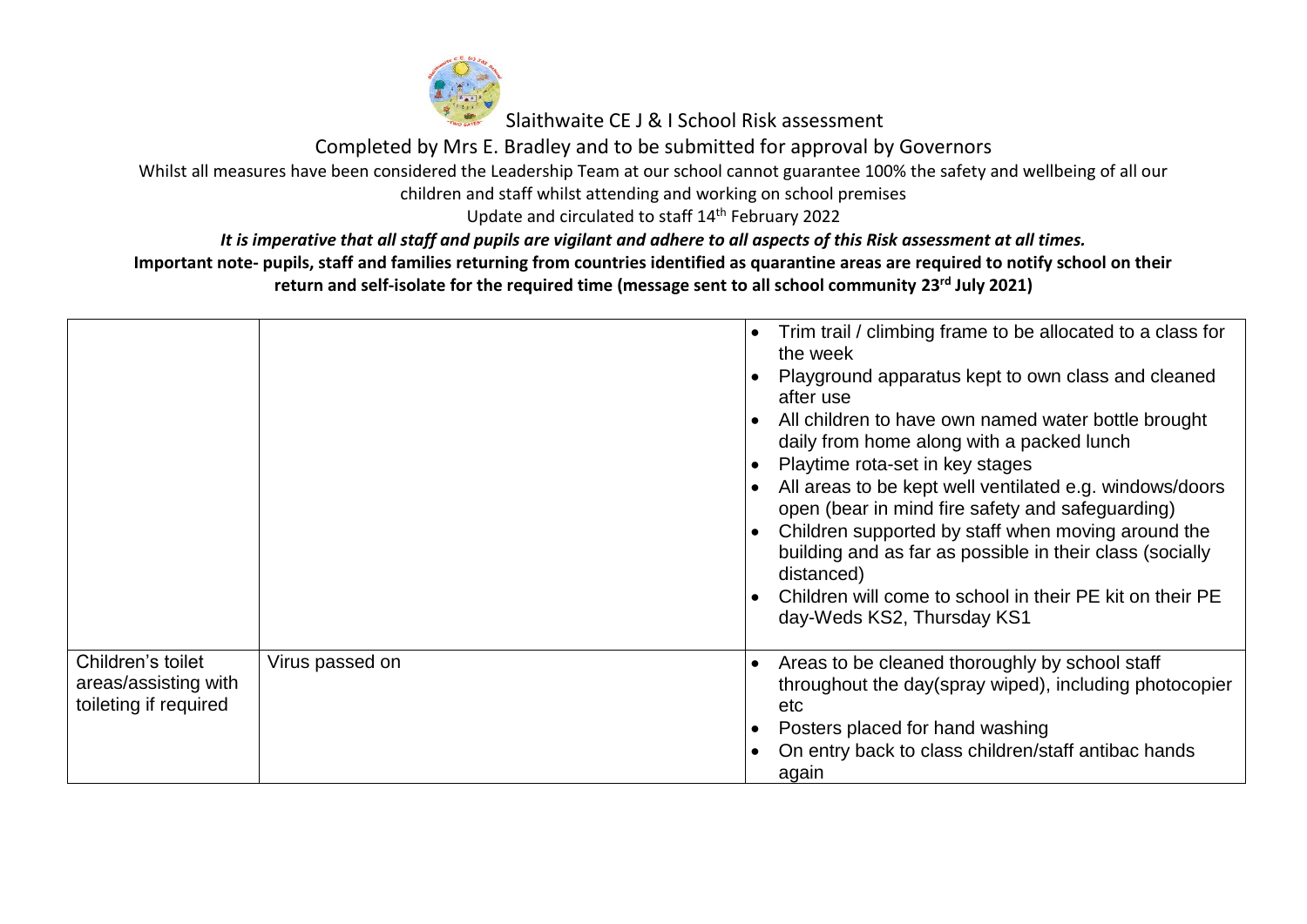

Completed by Mrs E. Bradley and to be submitted for approval by Governors

Whilst all measures have been considered the Leadership Team at our school cannot guarantee 100% the safety and wellbeing of all our

children and staff whilst attending and working on school premises

Update and circulated to staff 14<sup>th</sup> February 2022

*It is imperative that all staff and pupils are vigilant and adhere to all aspects of this Risk assessment at all times.*

|                                                                    |                 | $\bullet$<br>$\bullet$ | Trim trail / climbing frame to be allocated to a class for<br>the week<br>Playground apparatus kept to own class and cleaned<br>after use<br>All children to have own named water bottle brought<br>daily from home along with a packed lunch<br>Playtime rota-set in key stages<br>All areas to be kept well ventilated e.g. windows/doors<br>open (bear in mind fire safety and safeguarding)<br>Children supported by staff when moving around the<br>building and as far as possible in their class (socially<br>distanced)<br>Children will come to school in their PE kit on their PE<br>day-Weds KS2, Thursday KS1 |
|--------------------------------------------------------------------|-----------------|------------------------|---------------------------------------------------------------------------------------------------------------------------------------------------------------------------------------------------------------------------------------------------------------------------------------------------------------------------------------------------------------------------------------------------------------------------------------------------------------------------------------------------------------------------------------------------------------------------------------------------------------------------|
| Children's toilet<br>areas/assisting with<br>toileting if required | Virus passed on | $\bullet$              | Areas to be cleaned thoroughly by school staff<br>throughout the day(spray wiped), including photocopier<br>etc<br>Posters placed for hand washing<br>On entry back to class children/staff antibac hands<br>again                                                                                                                                                                                                                                                                                                                                                                                                        |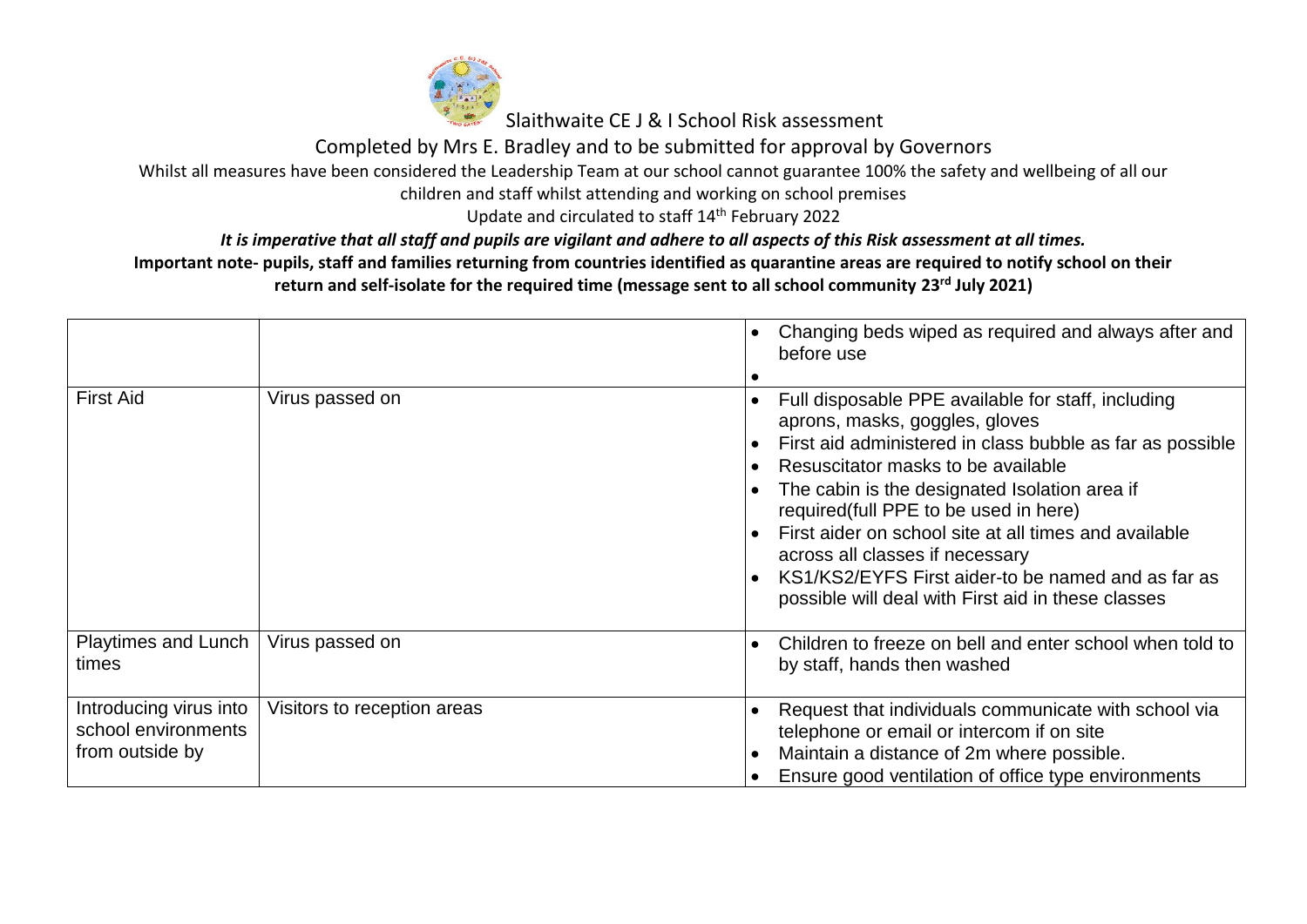

Completed by Mrs E. Bradley and to be submitted for approval by Governors

Whilst all measures have been considered the Leadership Team at our school cannot guarantee 100% the safety and wellbeing of all our

children and staff whilst attending and working on school premises

Update and circulated to staff 14<sup>th</sup> February 2022

*It is imperative that all staff and pupils are vigilant and adhere to all aspects of this Risk assessment at all times.*

|                                                                  |                             |                        | Changing beds wiped as required and always after and<br>before use                                                                                                                                                                                                                                                                                                                                                                                                                        |
|------------------------------------------------------------------|-----------------------------|------------------------|-------------------------------------------------------------------------------------------------------------------------------------------------------------------------------------------------------------------------------------------------------------------------------------------------------------------------------------------------------------------------------------------------------------------------------------------------------------------------------------------|
| <b>First Aid</b>                                                 | Virus passed on             | $\bullet$<br>$\bullet$ | Full disposable PPE available for staff, including<br>aprons, masks, goggles, gloves<br>First aid administered in class bubble as far as possible<br>Resuscitator masks to be available<br>The cabin is the designated Isolation area if<br>required(full PPE to be used in here)<br>First aider on school site at all times and available<br>across all classes if necessary<br>KS1/KS2/EYFS First aider-to be named and as far as<br>possible will deal with First aid in these classes |
| <b>Playtimes and Lunch</b><br>times                              | Virus passed on             | $\bullet$              | Children to freeze on bell and enter school when told to<br>by staff, hands then washed                                                                                                                                                                                                                                                                                                                                                                                                   |
| Introducing virus into<br>school environments<br>from outside by | Visitors to reception areas | $\bullet$              | Request that individuals communicate with school via<br>telephone or email or intercom if on site<br>Maintain a distance of 2m where possible.<br>Ensure good ventilation of office type environments                                                                                                                                                                                                                                                                                     |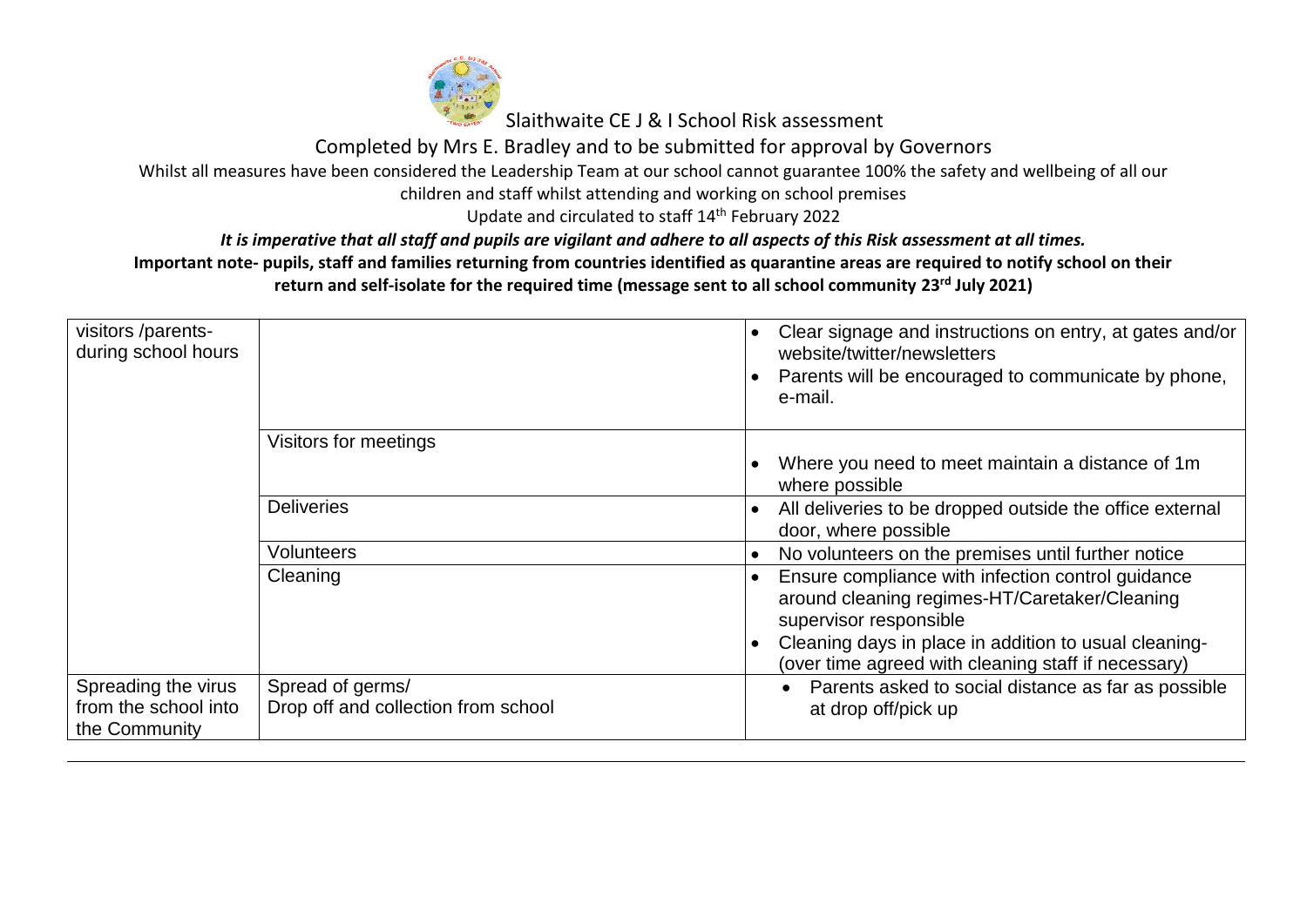

Completed by Mrs E. Bradley and to be submitted for approval by Governors

Whilst all measures have been considered the Leadership Team at our school cannot guarantee 100% the safety and wellbeing of all our

children and staff whilst attending and working on school premises

Update and circulated to staff 14<sup>th</sup> February 2022

*It is imperative that all staff and pupils are vigilant and adhere to all aspects of this Risk assessment at all times.*

| visitors /parents-<br>during school hours                    |                                                         | $\bullet$              | Clear signage and instructions on entry, at gates and/or<br>website/twitter/newsletters<br>Parents will be encouraged to communicate by phone,<br>e-mail.                                                                                    |
|--------------------------------------------------------------|---------------------------------------------------------|------------------------|----------------------------------------------------------------------------------------------------------------------------------------------------------------------------------------------------------------------------------------------|
|                                                              | Visitors for meetings                                   |                        |                                                                                                                                                                                                                                              |
|                                                              |                                                         | $\bullet$              | Where you need to meet maintain a distance of 1m<br>where possible                                                                                                                                                                           |
|                                                              | <b>Deliveries</b>                                       | $\bullet$              | All deliveries to be dropped outside the office external<br>door, where possible                                                                                                                                                             |
|                                                              | Volunteers                                              | $\bullet$              | No volunteers on the premises until further notice                                                                                                                                                                                           |
|                                                              | Cleaning                                                | $\bullet$<br>$\bullet$ | Ensure compliance with infection control guidance<br>around cleaning regimes-HT/Caretaker/Cleaning<br>supervisor responsible<br>Cleaning days in place in addition to usual cleaning-<br>(over time agreed with cleaning staff if necessary) |
| Spreading the virus<br>from the school into<br>the Community | Spread of germs/<br>Drop off and collection from school |                        | Parents asked to social distance as far as possible<br>$\bullet$<br>at drop off/pick up                                                                                                                                                      |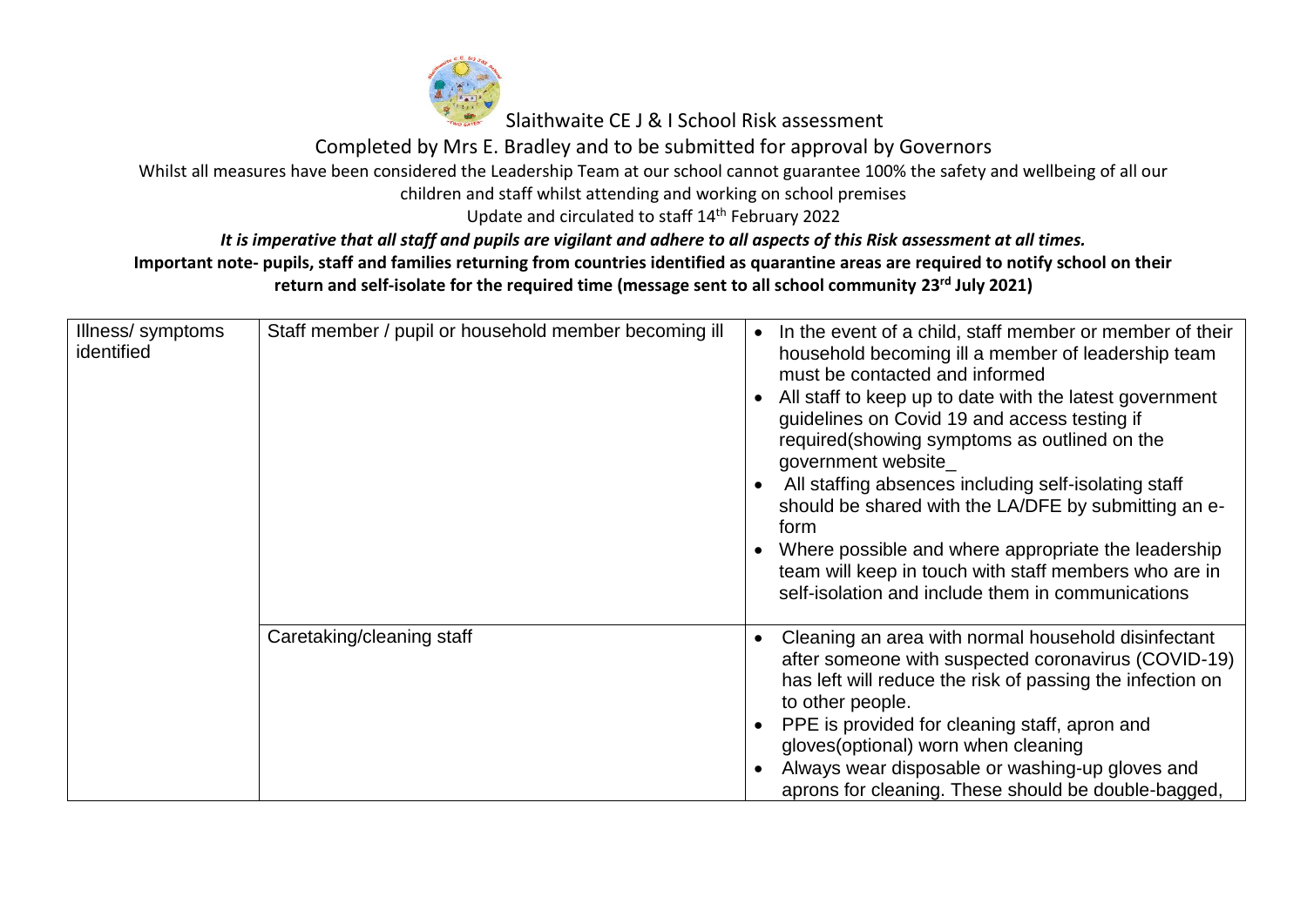

Completed by Mrs E. Bradley and to be submitted for approval by Governors

## Whilst all measures have been considered the Leadership Team at our school cannot guarantee 100% the safety and wellbeing of all our

children and staff whilst attending and working on school premises

Update and circulated to staff 14<sup>th</sup> February 2022

*It is imperative that all staff and pupils are vigilant and adhere to all aspects of this Risk assessment at all times.*

| Illness/symptoms<br>identified | Staff member / pupil or household member becoming ill | In the event of a child, staff member or member of their<br>household becoming ill a member of leadership team<br>must be contacted and informed<br>All staff to keep up to date with the latest government<br>guidelines on Covid 19 and access testing if<br>required(showing symptoms as outlined on the<br>government website<br>All staffing absences including self-isolating staff<br>should be shared with the LA/DFE by submitting an e-<br>form<br>Where possible and where appropriate the leadership<br>team will keep in touch with staff members who are in<br>self-isolation and include them in communications |
|--------------------------------|-------------------------------------------------------|--------------------------------------------------------------------------------------------------------------------------------------------------------------------------------------------------------------------------------------------------------------------------------------------------------------------------------------------------------------------------------------------------------------------------------------------------------------------------------------------------------------------------------------------------------------------------------------------------------------------------------|
|                                | Caretaking/cleaning staff                             | Cleaning an area with normal household disinfectant<br>after someone with suspected coronavirus (COVID-19)<br>has left will reduce the risk of passing the infection on<br>to other people.<br>PPE is provided for cleaning staff, apron and<br>gloves (optional) worn when cleaning<br>Always wear disposable or washing-up gloves and<br>aprons for cleaning. These should be double-bagged,                                                                                                                                                                                                                                 |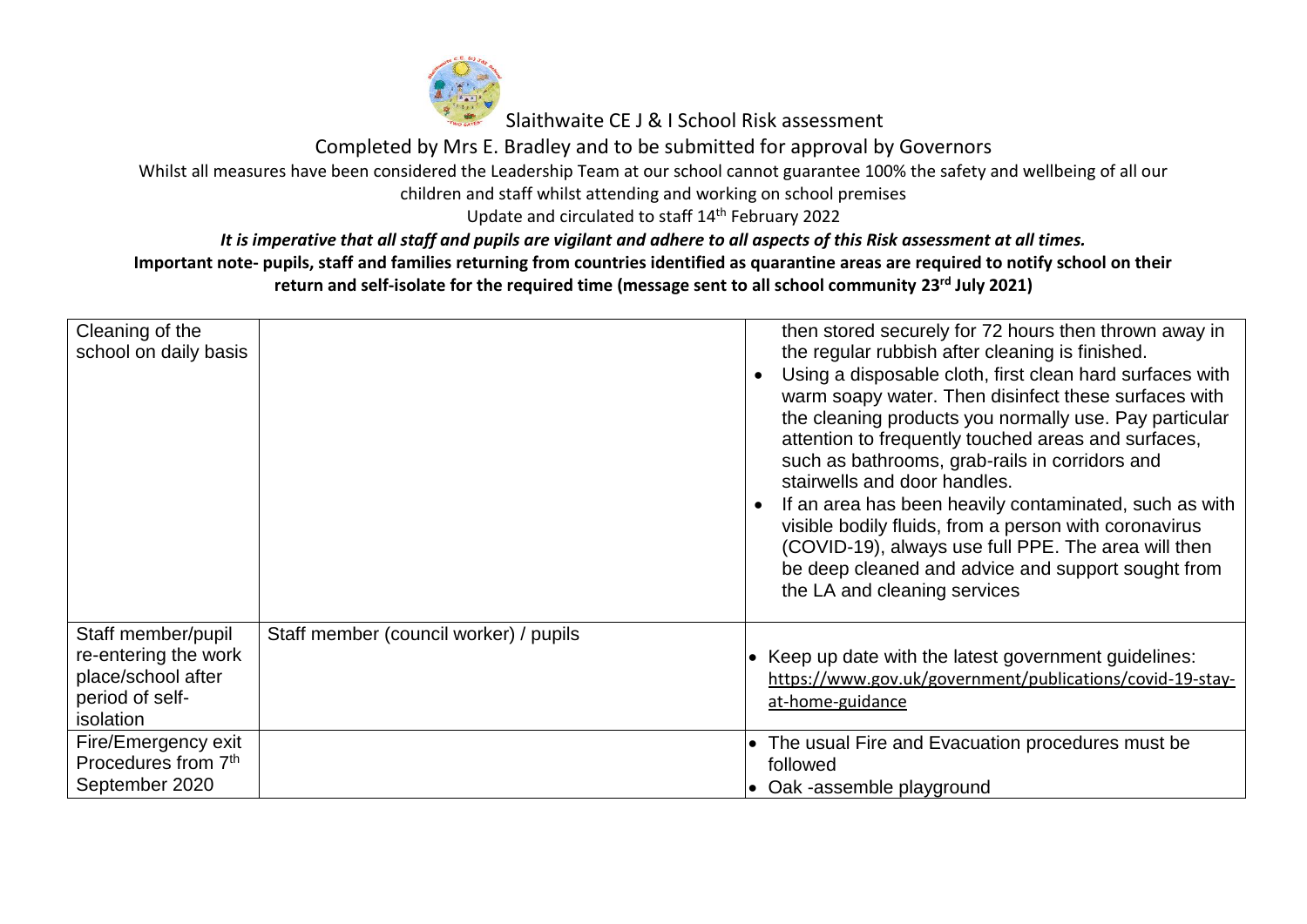

Completed by Mrs E. Bradley and to be submitted for approval by Governors

Whilst all measures have been considered the Leadership Team at our school cannot guarantee 100% the safety and wellbeing of all our

children and staff whilst attending and working on school premises

Update and circulated to staff 14<sup>th</sup> February 2022

*It is imperative that all staff and pupils are vigilant and adhere to all aspects of this Risk assessment at all times.*

| Cleaning of the<br>school on daily basis                                                         |                                        | then stored securely for 72 hours then thrown away in<br>the regular rubbish after cleaning is finished.<br>Using a disposable cloth, first clean hard surfaces with<br>warm soapy water. Then disinfect these surfaces with<br>the cleaning products you normally use. Pay particular<br>attention to frequently touched areas and surfaces,<br>such as bathrooms, grab-rails in corridors and<br>stairwells and door handles.<br>If an area has been heavily contaminated, such as with<br>visible bodily fluids, from a person with coronavirus<br>(COVID-19), always use full PPE. The area will then<br>be deep cleaned and advice and support sought from<br>the LA and cleaning services |
|--------------------------------------------------------------------------------------------------|----------------------------------------|-------------------------------------------------------------------------------------------------------------------------------------------------------------------------------------------------------------------------------------------------------------------------------------------------------------------------------------------------------------------------------------------------------------------------------------------------------------------------------------------------------------------------------------------------------------------------------------------------------------------------------------------------------------------------------------------------|
| Staff member/pupil<br>re-entering the work<br>place/school after<br>period of self-<br>isolation | Staff member (council worker) / pupils | • Keep up date with the latest government quidelines:<br>https://www.gov.uk/government/publications/covid-19-stay-<br>at-home-guidance                                                                                                                                                                                                                                                                                                                                                                                                                                                                                                                                                          |
| Fire/Emergency exit<br>Procedures from 7th<br>September 2020                                     |                                        | The usual Fire and Evacuation procedures must be<br>followed<br>Oak -assemble playground                                                                                                                                                                                                                                                                                                                                                                                                                                                                                                                                                                                                        |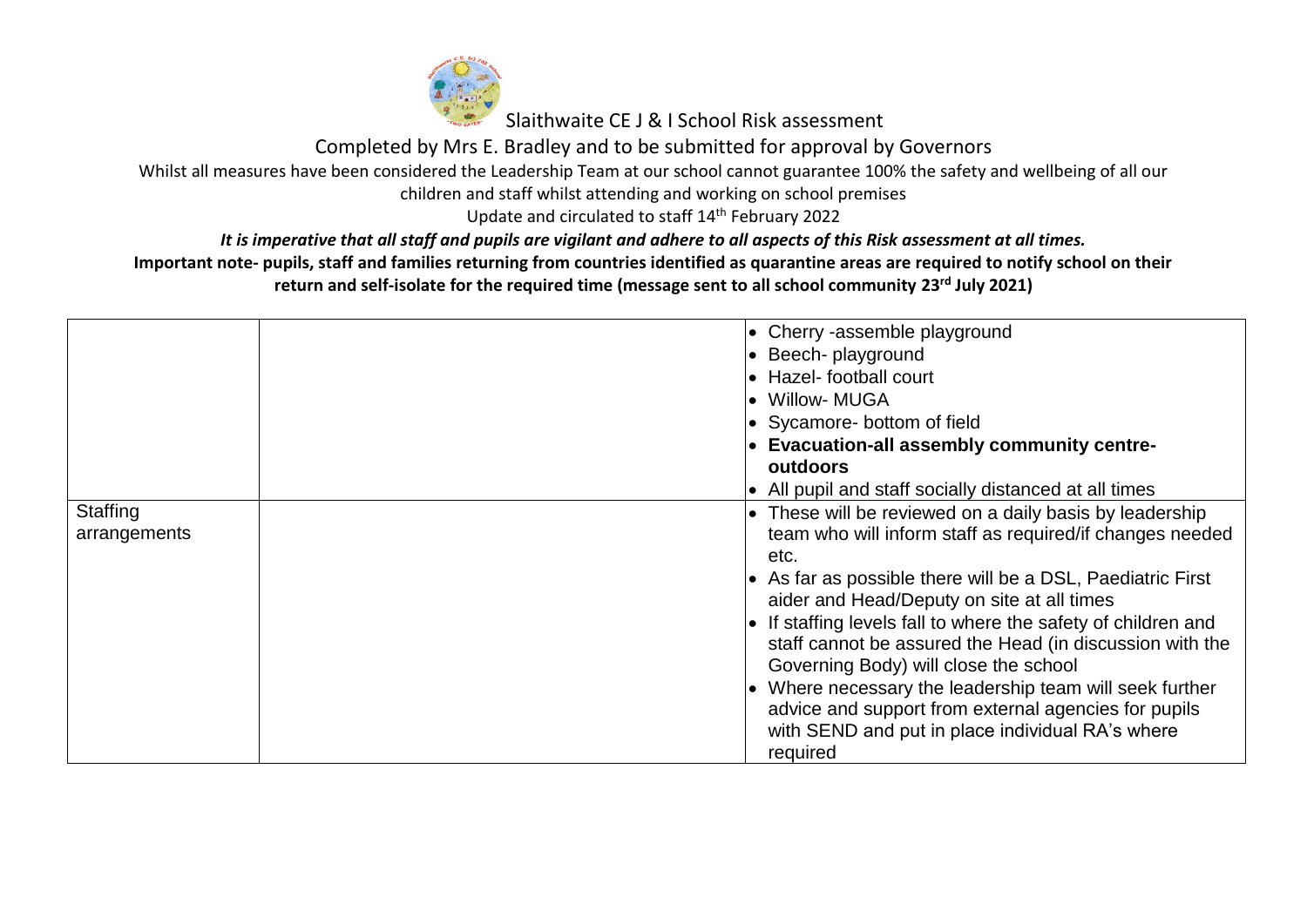

Completed by Mrs E. Bradley and to be submitted for approval by Governors

Whilst all measures have been considered the Leadership Team at our school cannot guarantee 100% the safety and wellbeing of all our

children and staff whilst attending and working on school premises

Update and circulated to staff 14<sup>th</sup> February 2022

*It is imperative that all staff and pupils are vigilant and adhere to all aspects of this Risk assessment at all times.*

|              | $\bullet$ Cherry -assemble playground                                 |
|--------------|-----------------------------------------------------------------------|
|              | $\bullet$ Beech-playground                                            |
|              | • Hazel-football court                                                |
|              | • Willow- MUGA                                                        |
|              |                                                                       |
|              | • Sycamore- bottom of field                                           |
|              | $\bullet$ Evacuation-all assembly community centre-                   |
|              | outdoors                                                              |
|              | • All pupil and staff socially distanced at all times                 |
| Staffing     | These will be reviewed on a daily basis by leadership                 |
| arrangements | team who will inform staff as required/if changes needed              |
|              | etc.                                                                  |
|              | $\bullet$ As far as possible there will be a DSL, Paediatric First    |
|              | aider and Head/Deputy on site at all times                            |
|              | $\bullet$ If staffing levels fall to where the safety of children and |
|              | staff cannot be assured the Head (in discussion with the              |
|              | Governing Body) will close the school                                 |
|              | Where necessary the leadership team will seek further                 |
|              | advice and support from external agencies for pupils                  |
|              |                                                                       |
|              | with SEND and put in place individual RA's where                      |
|              | required                                                              |